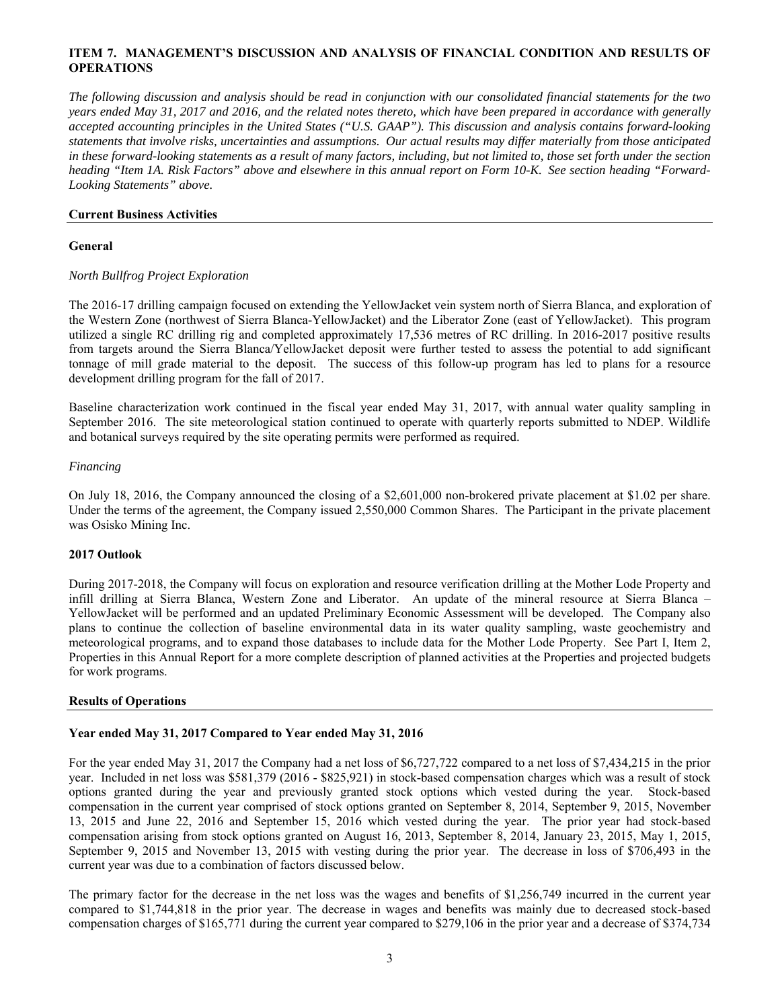## **ITEM 7. MANAGEMENT'S DISCUSSION AND ANALYSIS OF FINANCIAL CONDITION AND RESULTS OF OPERATIONS**

*The following discussion and analysis should be read in conjunction with our consolidated financial statements for the two years ended May 31, 2017 and 2016, and the related notes thereto, which have been prepared in accordance with generally accepted accounting principles in the United States ("U.S. GAAP"). This discussion and analysis contains forward-looking statements that involve risks, uncertainties and assumptions. Our actual results may differ materially from those anticipated in these forward-looking statements as a result of many factors, including, but not limited to, those set forth under the section heading "Item 1A. Risk Factors" above and elsewhere in this annual report on Form 10-K. See section heading "Forward-Looking Statements" above.*

#### **Current Business Activities**

## **General**

## *North Bullfrog Project Exploration*

The 2016-17 drilling campaign focused on extending the YellowJacket vein system north of Sierra Blanca, and exploration of the Western Zone (northwest of Sierra Blanca-YellowJacket) and the Liberator Zone (east of YellowJacket). This program utilized a single RC drilling rig and completed approximately 17,536 metres of RC drilling. In 2016-2017 positive results from targets around the Sierra Blanca/YellowJacket deposit were further tested to assess the potential to add significant tonnage of mill grade material to the deposit. The success of this follow-up program has led to plans for a resource development drilling program for the fall of 2017.

Baseline characterization work continued in the fiscal year ended May 31, 2017, with annual water quality sampling in September 2016. The site meteorological station continued to operate with quarterly reports submitted to NDEP. Wildlife and botanical surveys required by the site operating permits were performed as required.

## *Financing*

On July 18, 2016, the Company announced the closing of a \$2,601,000 non-brokered private placement at \$1.02 per share. Under the terms of the agreement, the Company issued 2,550,000 Common Shares. The Participant in the private placement was Osisko Mining Inc.

#### **2017 Outlook**

During 2017-2018, the Company will focus on exploration and resource verification drilling at the Mother Lode Property and infill drilling at Sierra Blanca, Western Zone and Liberator. An update of the mineral resource at Sierra Blanca – YellowJacket will be performed and an updated Preliminary Economic Assessment will be developed. The Company also plans to continue the collection of baseline environmental data in its water quality sampling, waste geochemistry and meteorological programs, and to expand those databases to include data for the Mother Lode Property. See Part I, Item 2, Properties in this Annual Report for a more complete description of planned activities at the Properties and projected budgets for work programs.

## **Results of Operations**

## **Year ended May 31, 2017 Compared to Year ended May 31, 2016**

For the year ended May 31, 2017 the Company had a net loss of \$6,727,722 compared to a net loss of \$7,434,215 in the prior year. Included in net loss was \$581,379 (2016 - \$825,921) in stock-based compensation charges which was a result of stock options granted during the year and previously granted stock options which vested during the year. Stock-based compensation in the current year comprised of stock options granted on September 8, 2014, September 9, 2015, November 13, 2015 and June 22, 2016 and September 15, 2016 which vested during the year. The prior year had stock-based compensation arising from stock options granted on August 16, 2013, September 8, 2014, January 23, 2015, May 1, 2015, September 9, 2015 and November 13, 2015 with vesting during the prior year. The decrease in loss of \$706,493 in the current year was due to a combination of factors discussed below.

The primary factor for the decrease in the net loss was the wages and benefits of \$1,256,749 incurred in the current year compared to \$1,744,818 in the prior year. The decrease in wages and benefits was mainly due to decreased stock-based compensation charges of \$165,771 during the current year compared to \$279,106 in the prior year and a decrease of \$374,734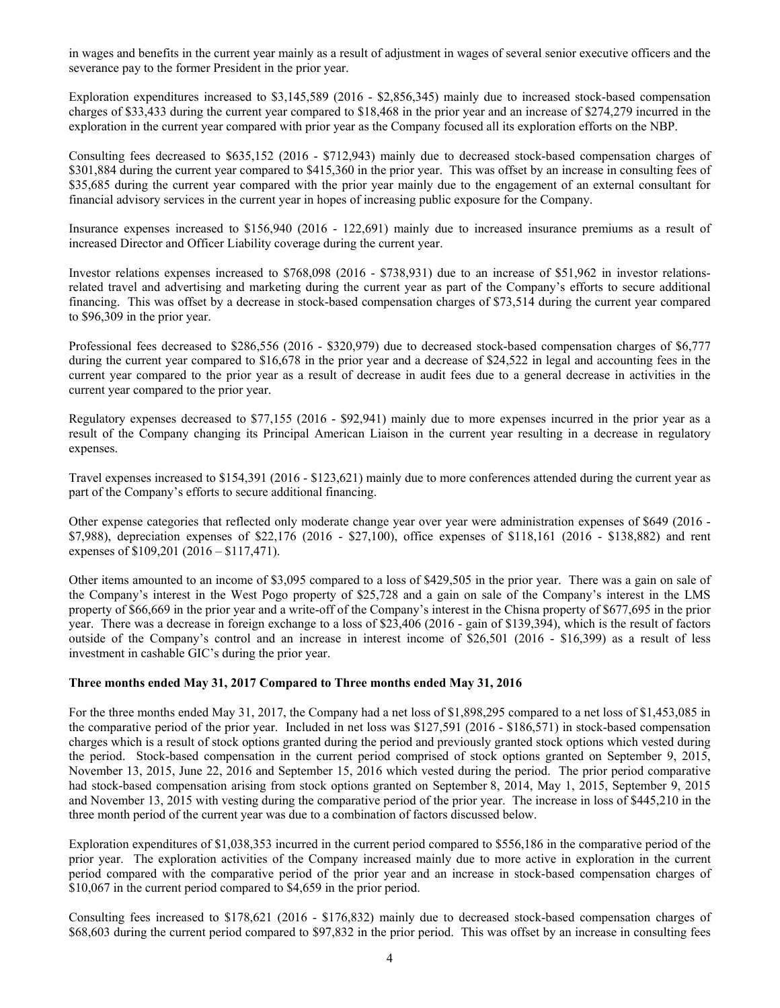in wages and benefits in the current year mainly as a result of adjustment in wages of several senior executive officers and the severance pay to the former President in the prior year.

Exploration expenditures increased to \$3,145,589 (2016 - \$2,856,345) mainly due to increased stock-based compensation charges of \$33,433 during the current year compared to \$18,468 in the prior year and an increase of \$274,279 incurred in the exploration in the current year compared with prior year as the Company focused all its exploration efforts on the NBP.

Consulting fees decreased to \$635,152 (2016 - \$712,943) mainly due to decreased stock-based compensation charges of \$301,884 during the current year compared to \$415,360 in the prior year. This was offset by an increase in consulting fees of \$35,685 during the current year compared with the prior year mainly due to the engagement of an external consultant for financial advisory services in the current year in hopes of increasing public exposure for the Company.

Insurance expenses increased to \$156,940 (2016 - 122,691) mainly due to increased insurance premiums as a result of increased Director and Officer Liability coverage during the current year.

Investor relations expenses increased to \$768,098 (2016 - \$738,931) due to an increase of \$51,962 in investor relationsrelated travel and advertising and marketing during the current year as part of the Company's efforts to secure additional financing. This was offset by a decrease in stock-based compensation charges of \$73,514 during the current year compared to \$96,309 in the prior year.

Professional fees decreased to \$286,556 (2016 - \$320,979) due to decreased stock-based compensation charges of \$6,777 during the current year compared to \$16,678 in the prior year and a decrease of \$24,522 in legal and accounting fees in the current year compared to the prior year as a result of decrease in audit fees due to a general decrease in activities in the current year compared to the prior year.

Regulatory expenses decreased to \$77,155 (2016 - \$92,941) mainly due to more expenses incurred in the prior year as a result of the Company changing its Principal American Liaison in the current year resulting in a decrease in regulatory expenses.

Travel expenses increased to \$154,391 (2016 - \$123,621) mainly due to more conferences attended during the current year as part of the Company's efforts to secure additional financing.

Other expense categories that reflected only moderate change year over year were administration expenses of \$649 (2016 - \$7,988), depreciation expenses of \$22,176 (2016 - \$27,100), office expenses of \$118,161 (2016 - \$138,882) and rent expenses of \$109,201 (2016 – \$117,471).

Other items amounted to an income of \$3,095 compared to a loss of \$429,505 in the prior year. There was a gain on sale of the Company's interest in the West Pogo property of \$25,728 and a gain on sale of the Company's interest in the LMS property of \$66,669 in the prior year and a write-off of the Company's interest in the Chisna property of \$677,695 in the prior year. There was a decrease in foreign exchange to a loss of \$23,406 (2016 - gain of \$139,394), which is the result of factors outside of the Company's control and an increase in interest income of \$26,501 (2016 - \$16,399) as a result of less investment in cashable GIC's during the prior year.

## **Three months ended May 31, 2017 Compared to Three months ended May 31, 2016**

For the three months ended May 31, 2017, the Company had a net loss of \$1,898,295 compared to a net loss of \$1,453,085 in the comparative period of the prior year. Included in net loss was \$127,591 (2016 - \$186,571) in stock-based compensation charges which is a result of stock options granted during the period and previously granted stock options which vested during the period. Stock-based compensation in the current period comprised of stock options granted on September 9, 2015, November 13, 2015, June 22, 2016 and September 15, 2016 which vested during the period. The prior period comparative had stock-based compensation arising from stock options granted on September 8, 2014, May 1, 2015, September 9, 2015 and November 13, 2015 with vesting during the comparative period of the prior year. The increase in loss of \$445,210 in the three month period of the current year was due to a combination of factors discussed below.

Exploration expenditures of \$1,038,353 incurred in the current period compared to \$556,186 in the comparative period of the prior year. The exploration activities of the Company increased mainly due to more active in exploration in the current period compared with the comparative period of the prior year and an increase in stock-based compensation charges of \$10,067 in the current period compared to \$4,659 in the prior period.

Consulting fees increased to \$178,621 (2016 - \$176,832) mainly due to decreased stock-based compensation charges of \$68,603 during the current period compared to \$97,832 in the prior period. This was offset by an increase in consulting fees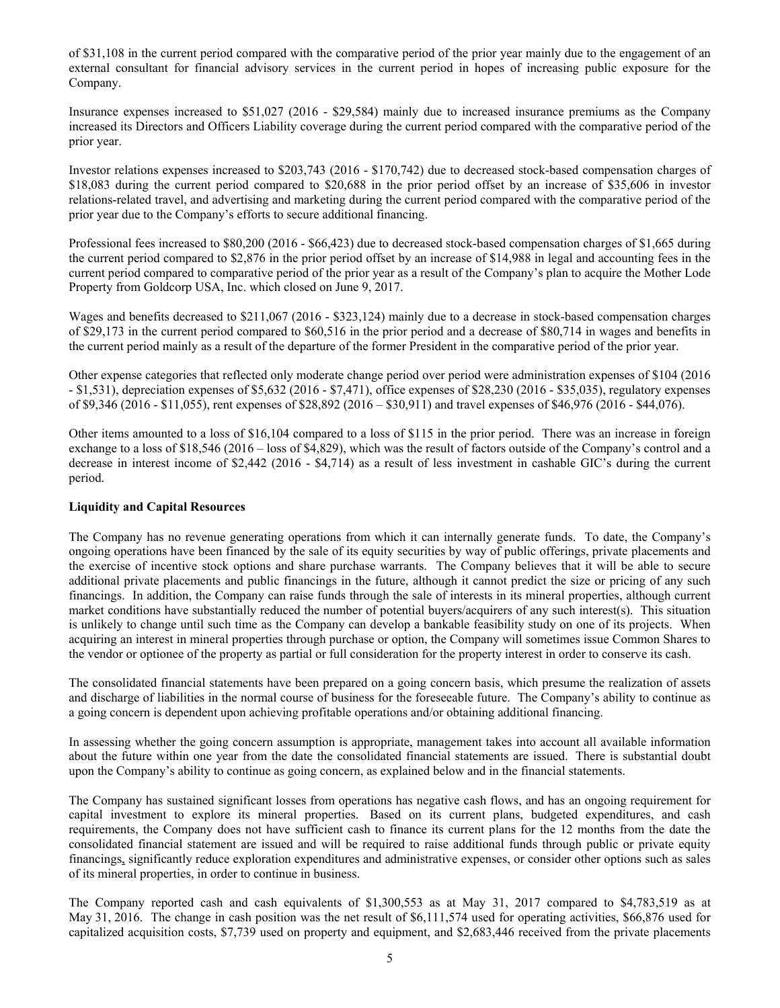of \$31,108 in the current period compared with the comparative period of the prior year mainly due to the engagement of an external consultant for financial advisory services in the current period in hopes of increasing public exposure for the Company.

Insurance expenses increased to \$51,027 (2016 - \$29,584) mainly due to increased insurance premiums as the Company increased its Directors and Officers Liability coverage during the current period compared with the comparative period of the prior year.

Investor relations expenses increased to \$203,743 (2016 - \$170,742) due to decreased stock-based compensation charges of \$18,083 during the current period compared to \$20,688 in the prior period offset by an increase of \$35,606 in investor relations-related travel, and advertising and marketing during the current period compared with the comparative period of the prior year due to the Company's efforts to secure additional financing.

Professional fees increased to \$80,200 (2016 - \$66,423) due to decreased stock-based compensation charges of \$1,665 during the current period compared to \$2,876 in the prior period offset by an increase of \$14,988 in legal and accounting fees in the current period compared to comparative period of the prior year as a result of the Company's plan to acquire the Mother Lode Property from Goldcorp USA, Inc. which closed on June 9, 2017.

Wages and benefits decreased to \$211,067 (2016 - \$323,124) mainly due to a decrease in stock-based compensation charges of \$29,173 in the current period compared to \$60,516 in the prior period and a decrease of \$80,714 in wages and benefits in the current period mainly as a result of the departure of the former President in the comparative period of the prior year.

Other expense categories that reflected only moderate change period over period were administration expenses of \$104 (2016 - \$1,531), depreciation expenses of \$5,632 (2016 - \$7,471), office expenses of \$28,230 (2016 - \$35,035), regulatory expenses of \$9,346 (2016 - \$11,055), rent expenses of \$28,892 (2016 – \$30,911) and travel expenses of \$46,976 (2016 - \$44,076).

Other items amounted to a loss of \$16,104 compared to a loss of \$115 in the prior period. There was an increase in foreign exchange to a loss of \$18,546 (2016 – loss of \$4,829), which was the result of factors outside of the Company's control and a decrease in interest income of \$2,442 (2016 - \$4,714) as a result of less investment in cashable GIC's during the current period.

## **Liquidity and Capital Resources**

The Company has no revenue generating operations from which it can internally generate funds. To date, the Company's ongoing operations have been financed by the sale of its equity securities by way of public offerings, private placements and the exercise of incentive stock options and share purchase warrants. The Company believes that it will be able to secure additional private placements and public financings in the future, although it cannot predict the size or pricing of any such financings. In addition, the Company can raise funds through the sale of interests in its mineral properties, although current market conditions have substantially reduced the number of potential buyers/acquirers of any such interest(s). This situation is unlikely to change until such time as the Company can develop a bankable feasibility study on one of its projects. When acquiring an interest in mineral properties through purchase or option, the Company will sometimes issue Common Shares to the vendor or optionee of the property as partial or full consideration for the property interest in order to conserve its cash.

The consolidated financial statements have been prepared on a going concern basis, which presume the realization of assets and discharge of liabilities in the normal course of business for the foreseeable future. The Company's ability to continue as a going concern is dependent upon achieving profitable operations and/or obtaining additional financing.

In assessing whether the going concern assumption is appropriate, management takes into account all available information about the future within one year from the date the consolidated financial statements are issued. There is substantial doubt upon the Company's ability to continue as going concern, as explained below and in the financial statements.

The Company has sustained significant losses from operations has negative cash flows, and has an ongoing requirement for capital investment to explore its mineral properties. Based on its current plans, budgeted expenditures, and cash requirements, the Company does not have sufficient cash to finance its current plans for the 12 months from the date the consolidated financial statement are issued and will be required to raise additional funds through public or private equity financings, significantly reduce exploration expenditures and administrative expenses, or consider other options such as sales of its mineral properties, in order to continue in business.

The Company reported cash and cash equivalents of \$1,300,553 as at May 31, 2017 compared to \$4,783,519 as at May 31, 2016. The change in cash position was the net result of \$6,111,574 used for operating activities, \$66,876 used for capitalized acquisition costs, \$7,739 used on property and equipment, and \$2,683,446 received from the private placements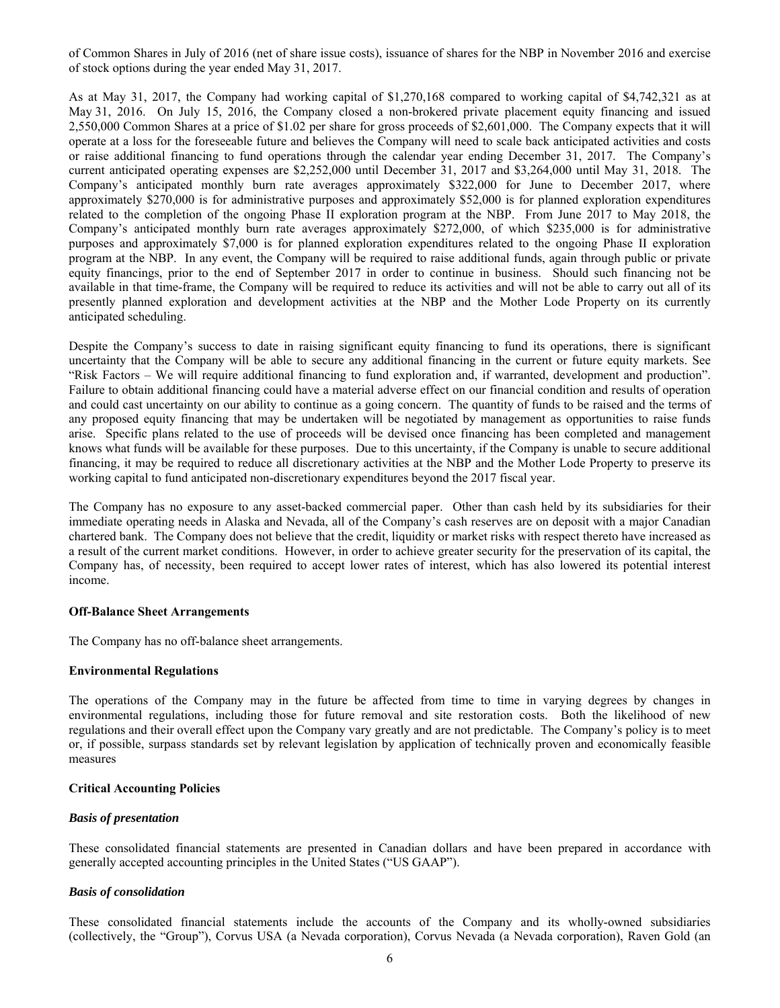of Common Shares in July of 2016 (net of share issue costs), issuance of shares for the NBP in November 2016 and exercise of stock options during the year ended May 31, 2017.

As at May 31, 2017, the Company had working capital of \$1,270,168 compared to working capital of \$4,742,321 as at May 31, 2016. On July 15, 2016, the Company closed a non-brokered private placement equity financing and issued 2,550,000 Common Shares at a price of \$1.02 per share for gross proceeds of \$2,601,000. The Company expects that it will operate at a loss for the foreseeable future and believes the Company will need to scale back anticipated activities and costs or raise additional financing to fund operations through the calendar year ending December 31, 2017. The Company's current anticipated operating expenses are \$2,252,000 until December 31, 2017 and \$3,264,000 until May 31, 2018. The Company's anticipated monthly burn rate averages approximately \$322,000 for June to December 2017, where approximately \$270,000 is for administrative purposes and approximately \$52,000 is for planned exploration expenditures related to the completion of the ongoing Phase II exploration program at the NBP. From June 2017 to May 2018, the Company's anticipated monthly burn rate averages approximately \$272,000, of which \$235,000 is for administrative purposes and approximately \$7,000 is for planned exploration expenditures related to the ongoing Phase II exploration program at the NBP. In any event, the Company will be required to raise additional funds, again through public or private equity financings, prior to the end of September 2017 in order to continue in business. Should such financing not be available in that time-frame, the Company will be required to reduce its activities and will not be able to carry out all of its presently planned exploration and development activities at the NBP and the Mother Lode Property on its currently anticipated scheduling.

Despite the Company's success to date in raising significant equity financing to fund its operations, there is significant uncertainty that the Company will be able to secure any additional financing in the current or future equity markets. See "Risk Factors – We will require additional financing to fund exploration and, if warranted, development and production". Failure to obtain additional financing could have a material adverse effect on our financial condition and results of operation and could cast uncertainty on our ability to continue as a going concern. The quantity of funds to be raised and the terms of any proposed equity financing that may be undertaken will be negotiated by management as opportunities to raise funds arise. Specific plans related to the use of proceeds will be devised once financing has been completed and management knows what funds will be available for these purposes. Due to this uncertainty, if the Company is unable to secure additional financing, it may be required to reduce all discretionary activities at the NBP and the Mother Lode Property to preserve its working capital to fund anticipated non-discretionary expenditures beyond the 2017 fiscal year.

The Company has no exposure to any asset-backed commercial paper. Other than cash held by its subsidiaries for their immediate operating needs in Alaska and Nevada, all of the Company's cash reserves are on deposit with a major Canadian chartered bank. The Company does not believe that the credit, liquidity or market risks with respect thereto have increased as a result of the current market conditions. However, in order to achieve greater security for the preservation of its capital, the Company has, of necessity, been required to accept lower rates of interest, which has also lowered its potential interest income.

#### **Off-Balance Sheet Arrangements**

The Company has no off-balance sheet arrangements.

## **Environmental Regulations**

The operations of the Company may in the future be affected from time to time in varying degrees by changes in environmental regulations, including those for future removal and site restoration costs. Both the likelihood of new regulations and their overall effect upon the Company vary greatly and are not predictable. The Company's policy is to meet or, if possible, surpass standards set by relevant legislation by application of technically proven and economically feasible measures

#### **Critical Accounting Policies**

#### *Basis of presentation*

These consolidated financial statements are presented in Canadian dollars and have been prepared in accordance with generally accepted accounting principles in the United States ("US GAAP").

#### *Basis of consolidation*

These consolidated financial statements include the accounts of the Company and its wholly-owned subsidiaries (collectively, the "Group"), Corvus USA (a Nevada corporation), Corvus Nevada (a Nevada corporation), Raven Gold (an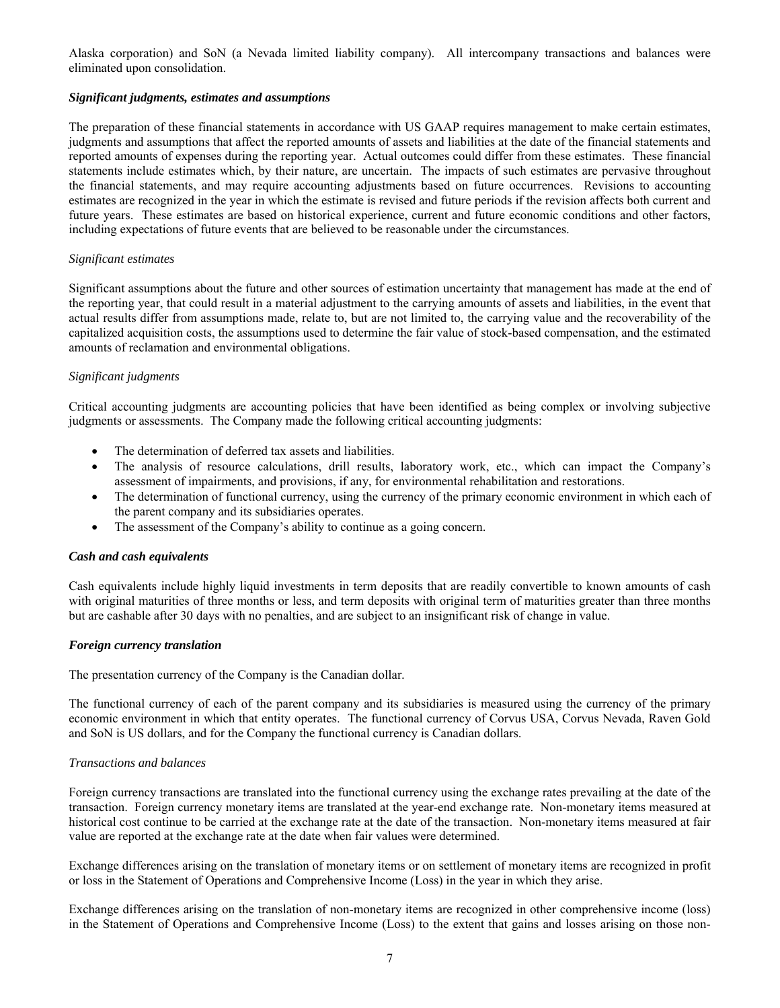Alaska corporation) and SoN (a Nevada limited liability company). All intercompany transactions and balances were eliminated upon consolidation.

## *Significant judgments, estimates and assumptions*

The preparation of these financial statements in accordance with US GAAP requires management to make certain estimates, judgments and assumptions that affect the reported amounts of assets and liabilities at the date of the financial statements and reported amounts of expenses during the reporting year. Actual outcomes could differ from these estimates. These financial statements include estimates which, by their nature, are uncertain. The impacts of such estimates are pervasive throughout the financial statements, and may require accounting adjustments based on future occurrences. Revisions to accounting estimates are recognized in the year in which the estimate is revised and future periods if the revision affects both current and future years. These estimates are based on historical experience, current and future economic conditions and other factors, including expectations of future events that are believed to be reasonable under the circumstances.

## *Significant estimates*

Significant assumptions about the future and other sources of estimation uncertainty that management has made at the end of the reporting year, that could result in a material adjustment to the carrying amounts of assets and liabilities, in the event that actual results differ from assumptions made, relate to, but are not limited to, the carrying value and the recoverability of the capitalized acquisition costs, the assumptions used to determine the fair value of stock-based compensation, and the estimated amounts of reclamation and environmental obligations.

## *Significant judgments*

Critical accounting judgments are accounting policies that have been identified as being complex or involving subjective judgments or assessments. The Company made the following critical accounting judgments:

- The determination of deferred tax assets and liabilities.
- The analysis of resource calculations, drill results, laboratory work, etc., which can impact the Company's assessment of impairments, and provisions, if any, for environmental rehabilitation and restorations.
- The determination of functional currency, using the currency of the primary economic environment in which each of the parent company and its subsidiaries operates.
- The assessment of the Company's ability to continue as a going concern.

#### *Cash and cash equivalents*

Cash equivalents include highly liquid investments in term deposits that are readily convertible to known amounts of cash with original maturities of three months or less, and term deposits with original term of maturities greater than three months but are cashable after 30 days with no penalties, and are subject to an insignificant risk of change in value.

#### *Foreign currency translation*

The presentation currency of the Company is the Canadian dollar.

The functional currency of each of the parent company and its subsidiaries is measured using the currency of the primary economic environment in which that entity operates. The functional currency of Corvus USA, Corvus Nevada, Raven Gold and SoN is US dollars, and for the Company the functional currency is Canadian dollars.

#### *Transactions and balances*

Foreign currency transactions are translated into the functional currency using the exchange rates prevailing at the date of the transaction. Foreign currency monetary items are translated at the year-end exchange rate. Non-monetary items measured at historical cost continue to be carried at the exchange rate at the date of the transaction. Non-monetary items measured at fair value are reported at the exchange rate at the date when fair values were determined.

Exchange differences arising on the translation of monetary items or on settlement of monetary items are recognized in profit or loss in the Statement of Operations and Comprehensive Income (Loss) in the year in which they arise.

Exchange differences arising on the translation of non-monetary items are recognized in other comprehensive income (loss) in the Statement of Operations and Comprehensive Income (Loss) to the extent that gains and losses arising on those non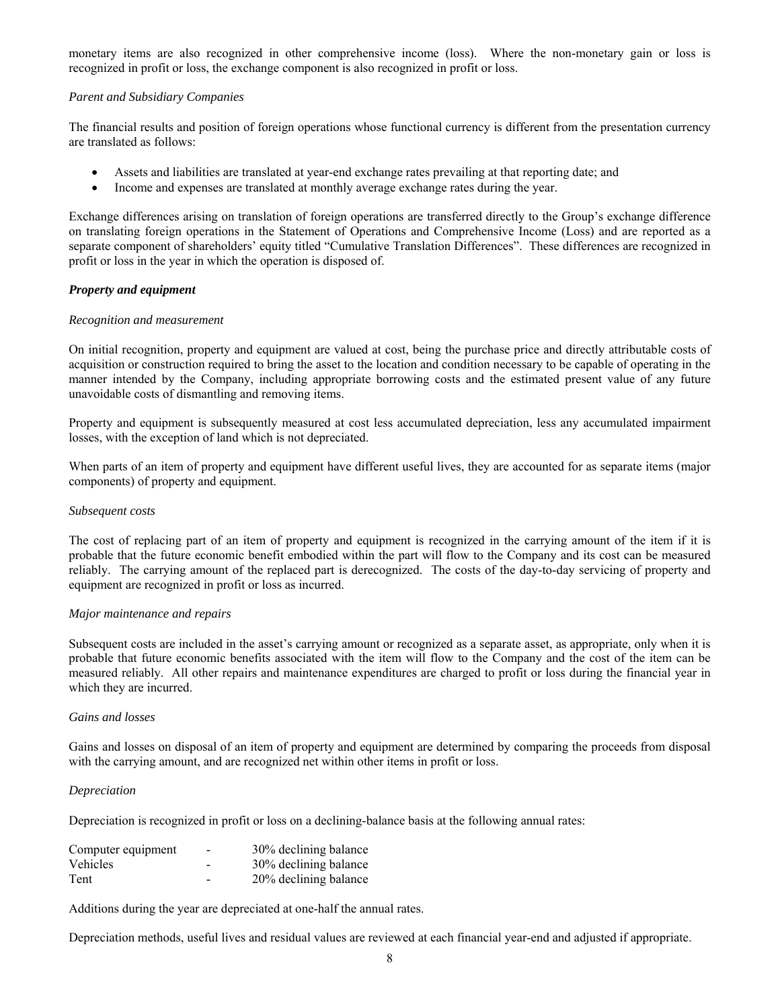monetary items are also recognized in other comprehensive income (loss). Where the non-monetary gain or loss is recognized in profit or loss, the exchange component is also recognized in profit or loss.

#### *Parent and Subsidiary Companies*

The financial results and position of foreign operations whose functional currency is different from the presentation currency are translated as follows:

- Assets and liabilities are translated at year-end exchange rates prevailing at that reporting date; and
- Income and expenses are translated at monthly average exchange rates during the year.

Exchange differences arising on translation of foreign operations are transferred directly to the Group's exchange difference on translating foreign operations in the Statement of Operations and Comprehensive Income (Loss) and are reported as a separate component of shareholders' equity titled "Cumulative Translation Differences". These differences are recognized in profit or loss in the year in which the operation is disposed of.

## *Property and equipment*

#### *Recognition and measurement*

On initial recognition, property and equipment are valued at cost, being the purchase price and directly attributable costs of acquisition or construction required to bring the asset to the location and condition necessary to be capable of operating in the manner intended by the Company, including appropriate borrowing costs and the estimated present value of any future unavoidable costs of dismantling and removing items.

Property and equipment is subsequently measured at cost less accumulated depreciation, less any accumulated impairment losses, with the exception of land which is not depreciated.

When parts of an item of property and equipment have different useful lives, they are accounted for as separate items (major components) of property and equipment.

#### *Subsequent costs*

The cost of replacing part of an item of property and equipment is recognized in the carrying amount of the item if it is probable that the future economic benefit embodied within the part will flow to the Company and its cost can be measured reliably. The carrying amount of the replaced part is derecognized. The costs of the day-to-day servicing of property and equipment are recognized in profit or loss as incurred.

#### *Major maintenance and repairs*

Subsequent costs are included in the asset's carrying amount or recognized as a separate asset, as appropriate, only when it is probable that future economic benefits associated with the item will flow to the Company and the cost of the item can be measured reliably. All other repairs and maintenance expenditures are charged to profit or loss during the financial year in which they are incurred.

#### *Gains and losses*

Gains and losses on disposal of an item of property and equipment are determined by comparing the proceeds from disposal with the carrying amount, and are recognized net within other items in profit or loss.

#### *Depreciation*

Depreciation is recognized in profit or loss on a declining-balance basis at the following annual rates:

| Computer equipment | - | 30% declining balance |
|--------------------|---|-----------------------|
| <b>Vehicles</b>    | - | 30% declining balance |
| Tent               | - | 20% declining balance |

Additions during the year are depreciated at one-half the annual rates.

Depreciation methods, useful lives and residual values are reviewed at each financial year-end and adjusted if appropriate.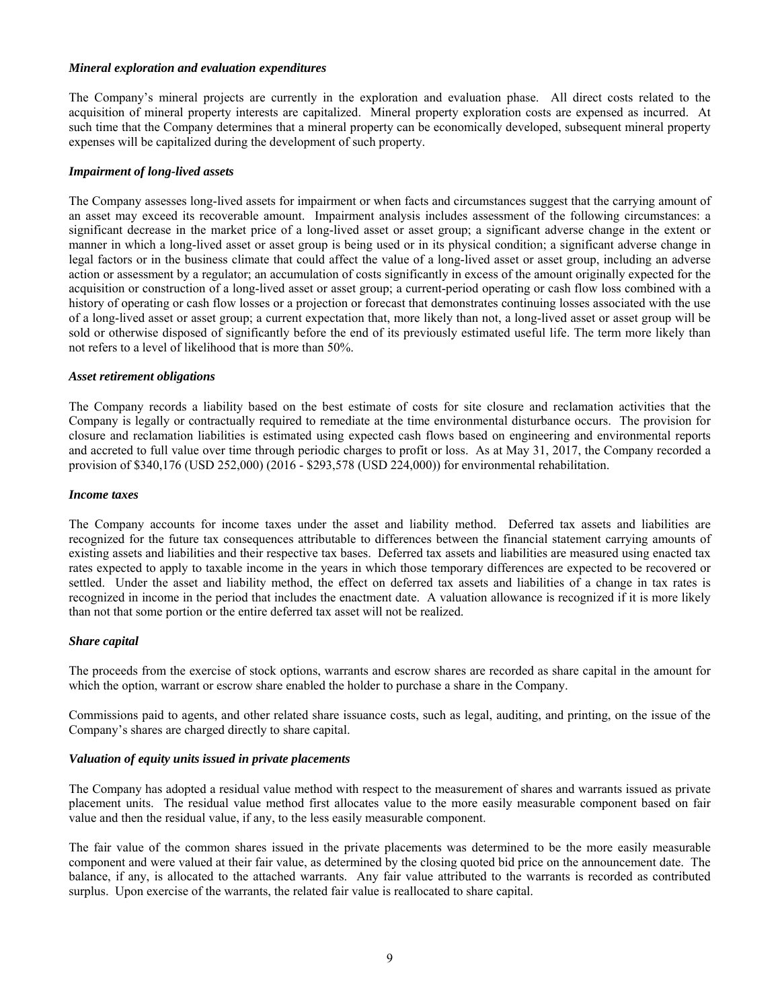#### *Mineral exploration and evaluation expenditures*

The Company's mineral projects are currently in the exploration and evaluation phase. All direct costs related to the acquisition of mineral property interests are capitalized. Mineral property exploration costs are expensed as incurred. At such time that the Company determines that a mineral property can be economically developed, subsequent mineral property expenses will be capitalized during the development of such property.

#### *Impairment of long-lived assets*

The Company assesses long-lived assets for impairment or when facts and circumstances suggest that the carrying amount of an asset may exceed its recoverable amount. Impairment analysis includes assessment of the following circumstances: a significant decrease in the market price of a long-lived asset or asset group; a significant adverse change in the extent or manner in which a long-lived asset or asset group is being used or in its physical condition; a significant adverse change in legal factors or in the business climate that could affect the value of a long-lived asset or asset group, including an adverse action or assessment by a regulator; an accumulation of costs significantly in excess of the amount originally expected for the acquisition or construction of a long-lived asset or asset group; a current-period operating or cash flow loss combined with a history of operating or cash flow losses or a projection or forecast that demonstrates continuing losses associated with the use of a long-lived asset or asset group; a current expectation that, more likely than not, a long-lived asset or asset group will be sold or otherwise disposed of significantly before the end of its previously estimated useful life. The term more likely than not refers to a level of likelihood that is more than 50%.

#### *Asset retirement obligations*

The Company records a liability based on the best estimate of costs for site closure and reclamation activities that the Company is legally or contractually required to remediate at the time environmental disturbance occurs. The provision for closure and reclamation liabilities is estimated using expected cash flows based on engineering and environmental reports and accreted to full value over time through periodic charges to profit or loss. As at May 31, 2017, the Company recorded a provision of \$340,176 (USD 252,000) (2016 - \$293,578 (USD 224,000)) for environmental rehabilitation.

#### *Income taxes*

The Company accounts for income taxes under the asset and liability method. Deferred tax assets and liabilities are recognized for the future tax consequences attributable to differences between the financial statement carrying amounts of existing assets and liabilities and their respective tax bases. Deferred tax assets and liabilities are measured using enacted tax rates expected to apply to taxable income in the years in which those temporary differences are expected to be recovered or settled. Under the asset and liability method, the effect on deferred tax assets and liabilities of a change in tax rates is recognized in income in the period that includes the enactment date. A valuation allowance is recognized if it is more likely than not that some portion or the entire deferred tax asset will not be realized.

#### *Share capital*

The proceeds from the exercise of stock options, warrants and escrow shares are recorded as share capital in the amount for which the option, warrant or escrow share enabled the holder to purchase a share in the Company.

Commissions paid to agents, and other related share issuance costs, such as legal, auditing, and printing, on the issue of the Company's shares are charged directly to share capital.

#### *Valuation of equity units issued in private placements*

The Company has adopted a residual value method with respect to the measurement of shares and warrants issued as private placement units. The residual value method first allocates value to the more easily measurable component based on fair value and then the residual value, if any, to the less easily measurable component.

The fair value of the common shares issued in the private placements was determined to be the more easily measurable component and were valued at their fair value, as determined by the closing quoted bid price on the announcement date. The balance, if any, is allocated to the attached warrants. Any fair value attributed to the warrants is recorded as contributed surplus. Upon exercise of the warrants, the related fair value is reallocated to share capital.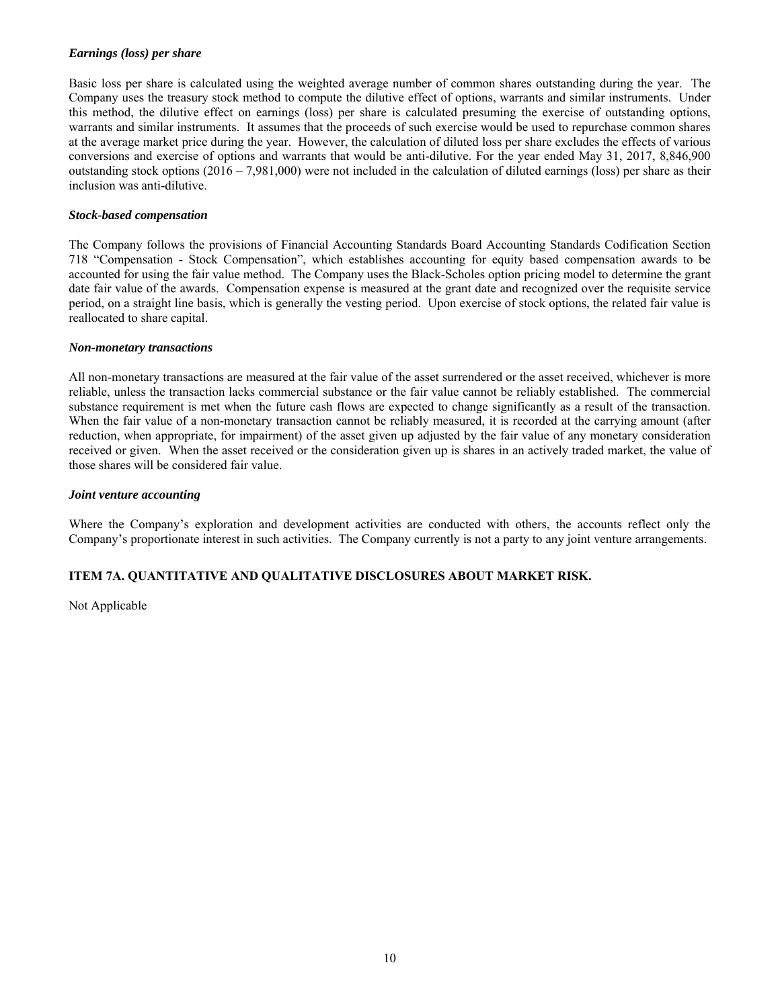## *Earnings (loss) per share*

Basic loss per share is calculated using the weighted average number of common shares outstanding during the year. The Company uses the treasury stock method to compute the dilutive effect of options, warrants and similar instruments. Under this method, the dilutive effect on earnings (loss) per share is calculated presuming the exercise of outstanding options, warrants and similar instruments. It assumes that the proceeds of such exercise would be used to repurchase common shares at the average market price during the year. However, the calculation of diluted loss per share excludes the effects of various conversions and exercise of options and warrants that would be anti-dilutive. For the year ended May 31, 2017, 8,846,900 outstanding stock options  $(2016 - 7,981,000)$  were not included in the calculation of diluted earnings (loss) per share as their inclusion was anti-dilutive.

## *Stock-based compensation*

The Company follows the provisions of Financial Accounting Standards Board Accounting Standards Codification Section 718 "Compensation - Stock Compensation", which establishes accounting for equity based compensation awards to be accounted for using the fair value method. The Company uses the Black-Scholes option pricing model to determine the grant date fair value of the awards. Compensation expense is measured at the grant date and recognized over the requisite service period, on a straight line basis, which is generally the vesting period. Upon exercise of stock options, the related fair value is reallocated to share capital.

## *Non-monetary transactions*

All non-monetary transactions are measured at the fair value of the asset surrendered or the asset received, whichever is more reliable, unless the transaction lacks commercial substance or the fair value cannot be reliably established. The commercial substance requirement is met when the future cash flows are expected to change significantly as a result of the transaction. When the fair value of a non-monetary transaction cannot be reliably measured, it is recorded at the carrying amount (after reduction, when appropriate, for impairment) of the asset given up adjusted by the fair value of any monetary consideration received or given. When the asset received or the consideration given up is shares in an actively traded market, the value of those shares will be considered fair value.

## *Joint venture accounting*

Where the Company's exploration and development activities are conducted with others, the accounts reflect only the Company's proportionate interest in such activities. The Company currently is not a party to any joint venture arrangements.

## **ITEM 7A. QUANTITATIVE AND QUALITATIVE DISCLOSURES ABOUT MARKET RISK.**

Not Applicable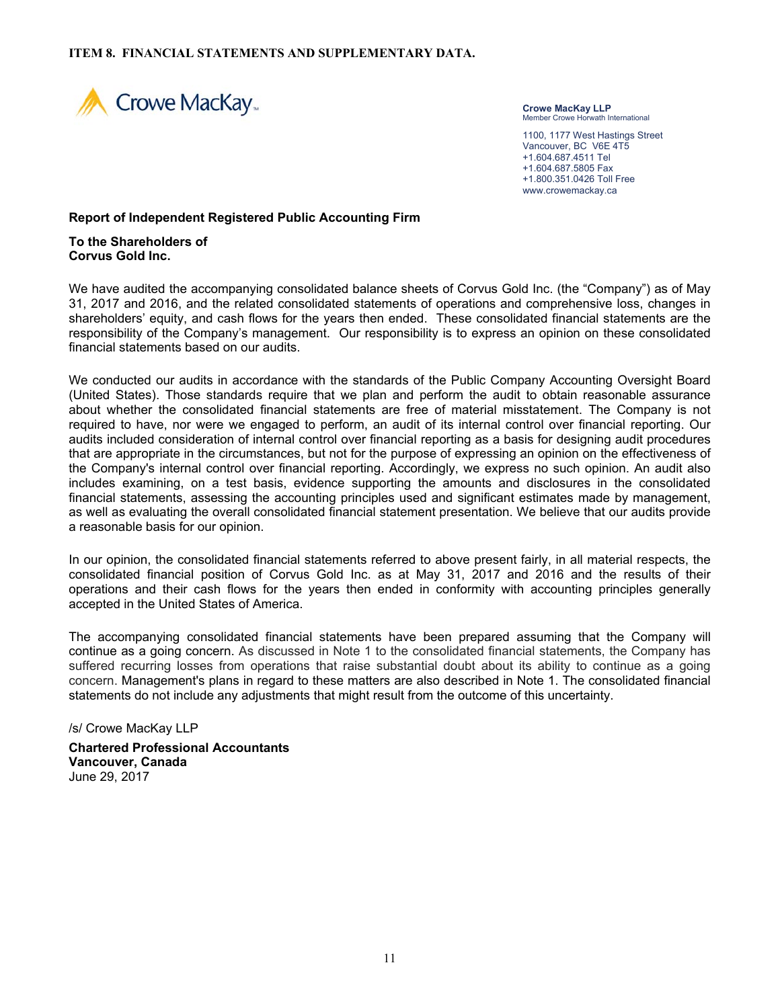

**Crowe MacKay LLP**  Member Crowe Horwath International

1100, 1177 West Hastings Street Vancouver, BC V6E 4T5 +1.604.687.4511 Tel +1.604.687.5805 Fax +1.800.351.0426 Toll Free www.crowemackay.ca

## **Report of Independent Registered Public Accounting Firm**

**To the Shareholders of Corvus Gold Inc.** 

We have audited the accompanying consolidated balance sheets of Corvus Gold Inc. (the "Company") as of May 31, 2017 and 2016, and the related consolidated statements of operations and comprehensive loss, changes in shareholders' equity, and cash flows for the years then ended. These consolidated financial statements are the responsibility of the Company's management. Our responsibility is to express an opinion on these consolidated financial statements based on our audits.

We conducted our audits in accordance with the standards of the Public Company Accounting Oversight Board (United States). Those standards require that we plan and perform the audit to obtain reasonable assurance about whether the consolidated financial statements are free of material misstatement. The Company is not required to have, nor were we engaged to perform, an audit of its internal control over financial reporting. Our audits included consideration of internal control over financial reporting as a basis for designing audit procedures that are appropriate in the circumstances, but not for the purpose of expressing an opinion on the effectiveness of the Company's internal control over financial reporting. Accordingly, we express no such opinion. An audit also includes examining, on a test basis, evidence supporting the amounts and disclosures in the consolidated financial statements, assessing the accounting principles used and significant estimates made by management, as well as evaluating the overall consolidated financial statement presentation. We believe that our audits provide a reasonable basis for our opinion.

In our opinion, the consolidated financial statements referred to above present fairly, in all material respects, the consolidated financial position of Corvus Gold Inc. as at May 31, 2017 and 2016 and the results of their operations and their cash flows for the years then ended in conformity with accounting principles generally accepted in the United States of America.

The accompanying consolidated financial statements have been prepared assuming that the Company will continue as a going concern. As discussed in Note 1 to the consolidated financial statements, the Company has suffered recurring losses from operations that raise substantial doubt about its ability to continue as a going concern. Management's plans in regard to these matters are also described in Note 1. The consolidated financial statements do not include any adjustments that might result from the outcome of this uncertainty.

/s/ Crowe MacKay LLP **Chartered Professional Accountants Vancouver, Canada** June 29, 2017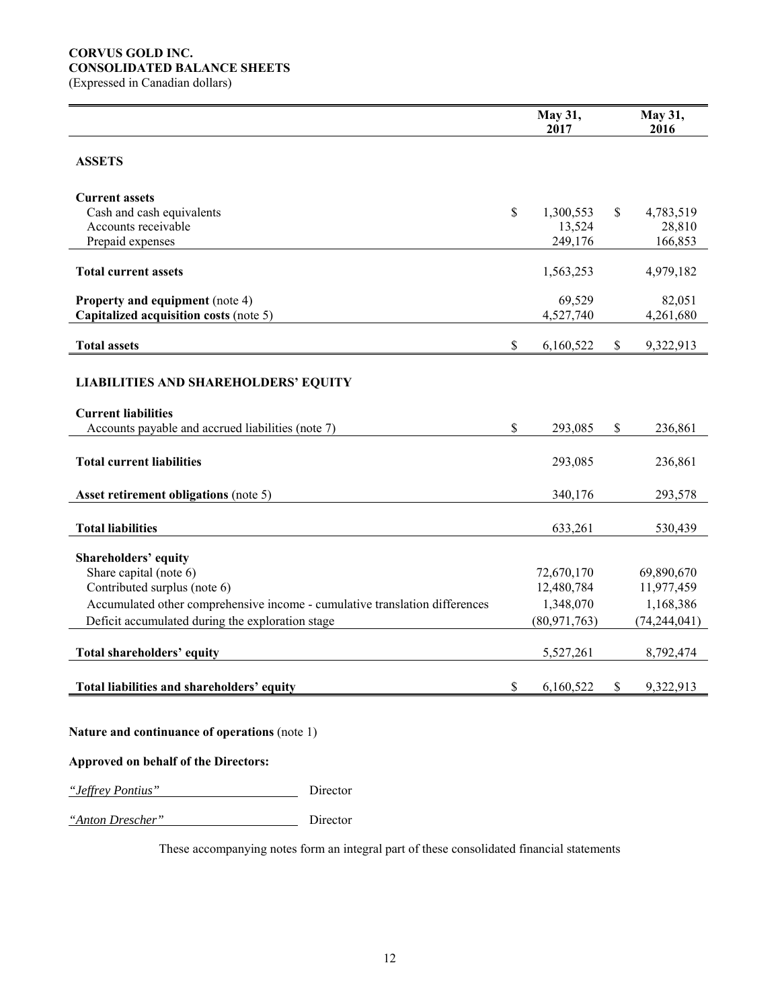# **CORVUS GOLD INC. CONSOLIDATED BALANCE SHEETS**

(Expressed in Canadian dollars)

|                                                                                                                                                                                                                   | May 31,<br>2017                                         | May 31,<br>2016                                         |
|-------------------------------------------------------------------------------------------------------------------------------------------------------------------------------------------------------------------|---------------------------------------------------------|---------------------------------------------------------|
| <b>ASSETS</b>                                                                                                                                                                                                     |                                                         |                                                         |
| <b>Current assets</b><br>Cash and cash equivalents<br>Accounts receivable<br>Prepaid expenses                                                                                                                     | \$<br>1,300,553<br>13,524<br>249,176                    | \$<br>4,783,519<br>28,810<br>166,853                    |
| <b>Total current assets</b>                                                                                                                                                                                       | 1,563,253                                               | 4,979,182                                               |
| Property and equipment (note 4)<br>Capitalized acquisition costs (note 5)                                                                                                                                         | 69,529<br>4,527,740                                     | 82,051<br>4,261,680                                     |
| <b>Total assets</b>                                                                                                                                                                                               | \$<br>6,160,522                                         | \$<br>9,322,913                                         |
| <b>LIABILITIES AND SHAREHOLDERS' EQUITY</b><br><b>Current liabilities</b>                                                                                                                                         |                                                         |                                                         |
| Accounts payable and accrued liabilities (note 7)                                                                                                                                                                 | \$<br>293,085                                           | \$<br>236,861                                           |
| <b>Total current liabilities</b>                                                                                                                                                                                  | 293,085                                                 | 236,861                                                 |
| Asset retirement obligations (note 5)                                                                                                                                                                             | 340,176                                                 | 293,578                                                 |
| <b>Total liabilities</b>                                                                                                                                                                                          | 633,261                                                 | 530,439                                                 |
| Shareholders' equity<br>Share capital (note 6)<br>Contributed surplus (note 6)<br>Accumulated other comprehensive income - cumulative translation differences<br>Deficit accumulated during the exploration stage | 72,670,170<br>12,480,784<br>1,348,070<br>(80, 971, 763) | 69,890,670<br>11,977,459<br>1,168,386<br>(74, 244, 041) |
| Total shareholders' equity                                                                                                                                                                                        | 5,527,261                                               | 8,792,474                                               |
| Total liabilities and shareholders' equity                                                                                                                                                                        | \$<br>6,160,522                                         | \$<br>9,322,913                                         |

**Nature and continuance of operations** (note 1)

**Approved on behalf of the Directors:** 

*"Jeffrey Pontius"* Director

*"Anton Drescher"* Director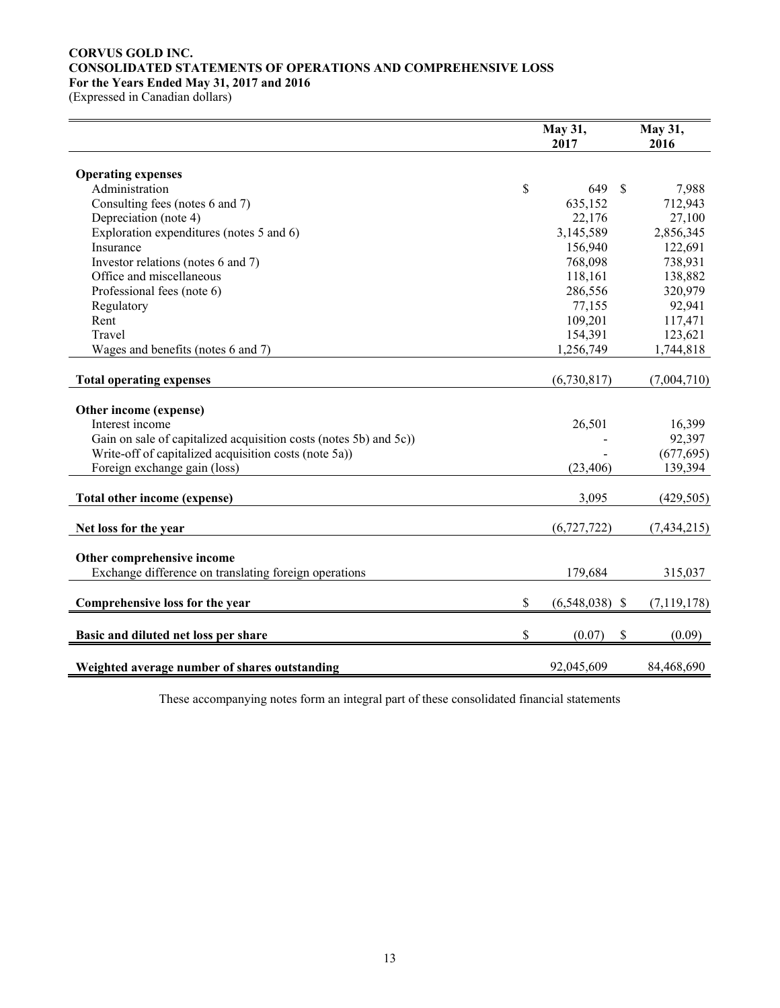## **CORVUS GOLD INC. CONSOLIDATED STATEMENTS OF OPERATIONS AND COMPREHENSIVE LOSS For the Years Ended May 31, 2017 and 2016**

(Expressed in Canadian dollars)

|                                                                                     | May 31,<br>2017        | May 31,<br>2016 |
|-------------------------------------------------------------------------------------|------------------------|-----------------|
|                                                                                     |                        |                 |
| <b>Operating expenses</b>                                                           |                        |                 |
| Administration                                                                      | \$<br>649<br>S         | 7,988           |
| Consulting fees (notes 6 and 7)                                                     | 635,152                | 712,943         |
| Depreciation (note 4)                                                               | 22,176                 | 27,100          |
| Exploration expenditures (notes 5 and 6)                                            | 3,145,589              | 2,856,345       |
| Insurance                                                                           | 156,940                | 122,691         |
| Investor relations (notes 6 and 7)                                                  | 768,098                | 738,931         |
| Office and miscellaneous                                                            | 118,161                | 138,882         |
| Professional fees (note 6)                                                          | 286,556                | 320,979         |
| Regulatory                                                                          | 77,155                 | 92,941          |
| Rent                                                                                | 109,201                | 117,471         |
| Travel                                                                              | 154,391                | 123,621         |
| Wages and benefits (notes 6 and 7)                                                  | 1,256,749              | 1,744,818       |
| <b>Total operating expenses</b>                                                     | (6,730,817)            | (7,004,710)     |
| Other income (expense)                                                              |                        |                 |
| Interest income                                                                     | 26,501                 | 16,399          |
| Gain on sale of capitalized acquisition costs (notes 5b) and 5c))                   |                        | 92,397          |
| Write-off of capitalized acquisition costs (note 5a))                               |                        | (677, 695)      |
| Foreign exchange gain (loss)                                                        | (23, 406)              | 139,394         |
|                                                                                     |                        |                 |
| Total other income (expense)                                                        | 3,095                  | (429, 505)      |
| Net loss for the year                                                               | (6,727,722)            | (7, 434, 215)   |
|                                                                                     |                        |                 |
| Other comprehensive income<br>Exchange difference on translating foreign operations | 179,684                | 315,037         |
|                                                                                     |                        |                 |
| Comprehensive loss for the year                                                     | \$<br>$(6,548,038)$ \$ | (7, 119, 178)   |
| Basic and diluted net loss per share                                                | \$<br>(0.07)<br>\$     | (0.09)          |
|                                                                                     |                        |                 |
| Weighted average number of shares outstanding                                       | 92,045,609             | 84,468,690      |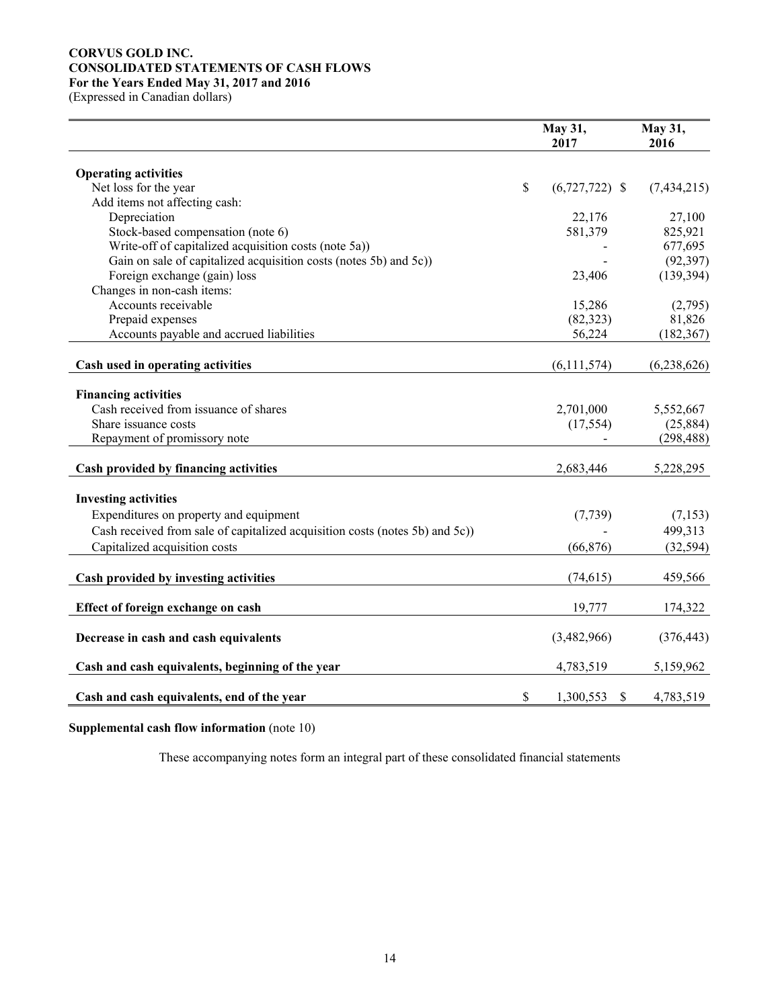## **CORVUS GOLD INC. CONSOLIDATED STATEMENTS OF CASH FLOWS For the Years Ended May 31, 2017 and 2016**

(Expressed in Canadian dollars)

|                                                                              | May 31,<br>2017        | May 31,<br>2016 |
|------------------------------------------------------------------------------|------------------------|-----------------|
| <b>Operating activities</b>                                                  |                        |                 |
| Net loss for the year                                                        | \$<br>$(6,727,722)$ \$ | (7, 434, 215)   |
| Add items not affecting cash:                                                |                        |                 |
| Depreciation                                                                 | 22,176                 | 27,100          |
| Stock-based compensation (note 6)                                            | 581,379                | 825,921         |
| Write-off of capitalized acquisition costs (note 5a))                        |                        | 677,695         |
| Gain on sale of capitalized acquisition costs (notes 5b) and 5c))            |                        | (92, 397)       |
| Foreign exchange (gain) loss                                                 | 23,406                 | (139, 394)      |
| Changes in non-cash items:                                                   |                        |                 |
| Accounts receivable                                                          | 15,286                 | (2,795)         |
| Prepaid expenses                                                             | (82, 323)              | 81,826          |
| Accounts payable and accrued liabilities                                     | 56,224                 | (182, 367)      |
|                                                                              |                        |                 |
| Cash used in operating activities                                            | (6, 111, 574)          | (6,238,626)     |
| <b>Financing activities</b>                                                  |                        |                 |
| Cash received from issuance of shares                                        | 2,701,000              | 5,552,667       |
| Share issuance costs                                                         | (17, 554)              | (25, 884)       |
| Repayment of promissory note                                                 |                        | (298, 488)      |
|                                                                              |                        |                 |
| Cash provided by financing activities                                        | 2,683,446              | 5,228,295       |
| <b>Investing activities</b>                                                  |                        |                 |
| Expenditures on property and equipment                                       | (7, 739)               | (7,153)         |
| Cash received from sale of capitalized acquisition costs (notes 5b) and 5c)) |                        | 499,313         |
|                                                                              |                        |                 |
| Capitalized acquisition costs                                                | (66, 876)              | (32, 594)       |
| Cash provided by investing activities                                        | (74, 615)              | 459,566         |
| Effect of foreign exchange on cash                                           | 19,777                 | 174,322         |
| Decrease in cash and cash equivalents                                        | (3,482,966)            | (376, 443)      |
| Cash and cash equivalents, beginning of the year                             | 4,783,519              | 5,159,962       |
| Cash and cash equivalents, end of the year                                   | \$<br>1,300,553<br>\$  | 4,783,519       |

**Supplemental cash flow information** (note 10)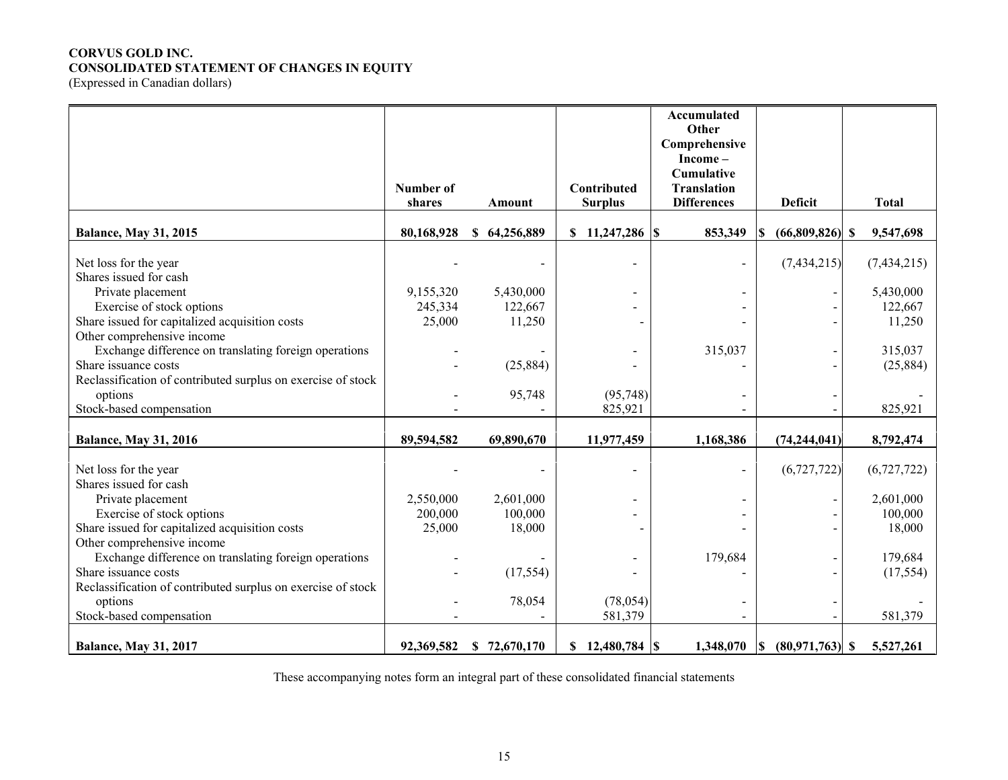# **CORVUS GOLD INC. CONSOLIDATED STATEMENT OF CHANGES IN EQUITY**

(Expressed in Canadian dollars)

|                                                              |            |              |                      | Accumulated              |                      |                            |
|--------------------------------------------------------------|------------|--------------|----------------------|--------------------------|----------------------|----------------------------|
|                                                              |            |              |                      | Other                    |                      |                            |
|                                                              |            |              |                      | Comprehensive<br>Income- |                      |                            |
|                                                              |            |              |                      | <b>Cumulative</b>        |                      |                            |
|                                                              | Number of  |              | Contributed          | <b>Translation</b>       |                      |                            |
|                                                              | shares     | Amount       | <b>Surplus</b>       | <b>Differences</b>       | <b>Deficit</b>       | <b>Total</b>               |
|                                                              |            |              |                      |                          |                      |                            |
| <b>Balance, May 31, 2015</b>                                 | 80,168,928 | \$64,256,889 | $11,247,286$ S<br>\$ | 853,349                  | (66, 809, 826)<br>S  | 9,547,698<br>$\mathbf{\$}$ |
| Net loss for the year                                        |            |              |                      | $\blacksquare$           | (7, 434, 215)        | (7, 434, 215)              |
| Shares issued for cash                                       |            |              |                      |                          |                      |                            |
| Private placement                                            | 9,155,320  | 5,430,000    |                      |                          |                      | 5,430,000                  |
| Exercise of stock options                                    | 245,334    | 122,667      |                      |                          |                      | 122,667                    |
| Share issued for capitalized acquisition costs               | 25,000     | 11,250       |                      |                          |                      | 11,250                     |
| Other comprehensive income                                   |            |              |                      |                          |                      |                            |
| Exchange difference on translating foreign operations        |            |              |                      | 315,037                  |                      | 315,037                    |
| Share issuance costs                                         |            | (25, 884)    |                      |                          |                      | (25,884)                   |
| Reclassification of contributed surplus on exercise of stock |            |              |                      |                          |                      |                            |
| options                                                      |            | 95,748       | (95, 748)            |                          |                      |                            |
| Stock-based compensation                                     |            |              | 825,921              |                          |                      | 825,921                    |
|                                                              |            |              |                      |                          |                      |                            |
| <b>Balance, May 31, 2016</b>                                 | 89,594,582 | 69,890,670   | 11,977,459           | 1,168,386                | (74, 244, 041)       | 8,792,474                  |
| Net loss for the year                                        |            |              |                      | $\blacksquare$           | (6,727,722)          | (6,727,722)                |
| Shares issued for cash                                       |            |              |                      |                          |                      |                            |
| Private placement                                            | 2,550,000  | 2,601,000    |                      |                          |                      | 2,601,000                  |
| Exercise of stock options                                    | 200,000    | 100,000      |                      |                          |                      | 100,000                    |
| Share issued for capitalized acquisition costs               | 25,000     | 18,000       |                      |                          |                      | 18,000                     |
| Other comprehensive income                                   |            |              |                      |                          |                      |                            |
| Exchange difference on translating foreign operations        |            |              |                      | 179,684                  |                      | 179,684                    |
| Share issuance costs                                         |            | (17, 554)    |                      |                          |                      | (17, 554)                  |
| Reclassification of contributed surplus on exercise of stock |            |              |                      |                          |                      |                            |
| options                                                      |            | 78,054       | (78, 054)            |                          |                      |                            |
| Stock-based compensation                                     |            |              | 581,379              |                          |                      | 581,379                    |
|                                                              |            |              |                      |                          |                      |                            |
| <b>Balance, May 31, 2017</b>                                 | 92,369,582 | \$72,670,170 | $$12,480,784$ \S     | 1,348,070                | (80, 971, 763)<br>\$ | 5,527,261<br>-S            |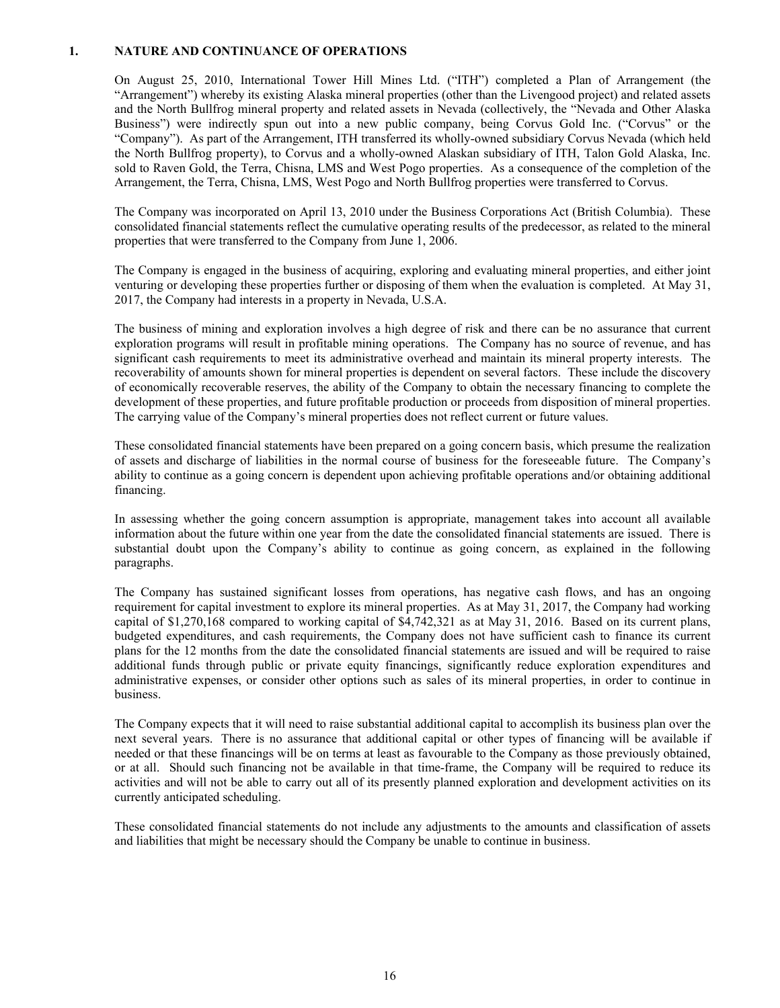## **1. NATURE AND CONTINUANCE OF OPERATIONS**

On August 25, 2010, International Tower Hill Mines Ltd. ("ITH") completed a Plan of Arrangement (the "Arrangement") whereby its existing Alaska mineral properties (other than the Livengood project) and related assets and the North Bullfrog mineral property and related assets in Nevada (collectively, the "Nevada and Other Alaska Business") were indirectly spun out into a new public company, being Corvus Gold Inc. ("Corvus" or the "Company"). As part of the Arrangement, ITH transferred its wholly-owned subsidiary Corvus Nevada (which held the North Bullfrog property), to Corvus and a wholly-owned Alaskan subsidiary of ITH, Talon Gold Alaska, Inc. sold to Raven Gold, the Terra, Chisna, LMS and West Pogo properties. As a consequence of the completion of the Arrangement, the Terra, Chisna, LMS, West Pogo and North Bullfrog properties were transferred to Corvus.

The Company was incorporated on April 13, 2010 under the Business Corporations Act (British Columbia). These consolidated financial statements reflect the cumulative operating results of the predecessor, as related to the mineral properties that were transferred to the Company from June 1, 2006.

The Company is engaged in the business of acquiring, exploring and evaluating mineral properties, and either joint venturing or developing these properties further or disposing of them when the evaluation is completed. At May 31, 2017, the Company had interests in a property in Nevada, U.S.A.

The business of mining and exploration involves a high degree of risk and there can be no assurance that current exploration programs will result in profitable mining operations. The Company has no source of revenue, and has significant cash requirements to meet its administrative overhead and maintain its mineral property interests. The recoverability of amounts shown for mineral properties is dependent on several factors. These include the discovery of economically recoverable reserves, the ability of the Company to obtain the necessary financing to complete the development of these properties, and future profitable production or proceeds from disposition of mineral properties. The carrying value of the Company's mineral properties does not reflect current or future values.

These consolidated financial statements have been prepared on a going concern basis, which presume the realization of assets and discharge of liabilities in the normal course of business for the foreseeable future. The Company's ability to continue as a going concern is dependent upon achieving profitable operations and/or obtaining additional financing.

In assessing whether the going concern assumption is appropriate, management takes into account all available information about the future within one year from the date the consolidated financial statements are issued. There is substantial doubt upon the Company's ability to continue as going concern, as explained in the following paragraphs.

The Company has sustained significant losses from operations, has negative cash flows, and has an ongoing requirement for capital investment to explore its mineral properties. As at May 31, 2017, the Company had working capital of \$1,270,168 compared to working capital of \$4,742,321 as at May 31, 2016. Based on its current plans, budgeted expenditures, and cash requirements, the Company does not have sufficient cash to finance its current plans for the 12 months from the date the consolidated financial statements are issued and will be required to raise additional funds through public or private equity financings, significantly reduce exploration expenditures and administrative expenses, or consider other options such as sales of its mineral properties, in order to continue in business.

The Company expects that it will need to raise substantial additional capital to accomplish its business plan over the next several years. There is no assurance that additional capital or other types of financing will be available if needed or that these financings will be on terms at least as favourable to the Company as those previously obtained, or at all. Should such financing not be available in that time-frame, the Company will be required to reduce its activities and will not be able to carry out all of its presently planned exploration and development activities on its currently anticipated scheduling.

These consolidated financial statements do not include any adjustments to the amounts and classification of assets and liabilities that might be necessary should the Company be unable to continue in business.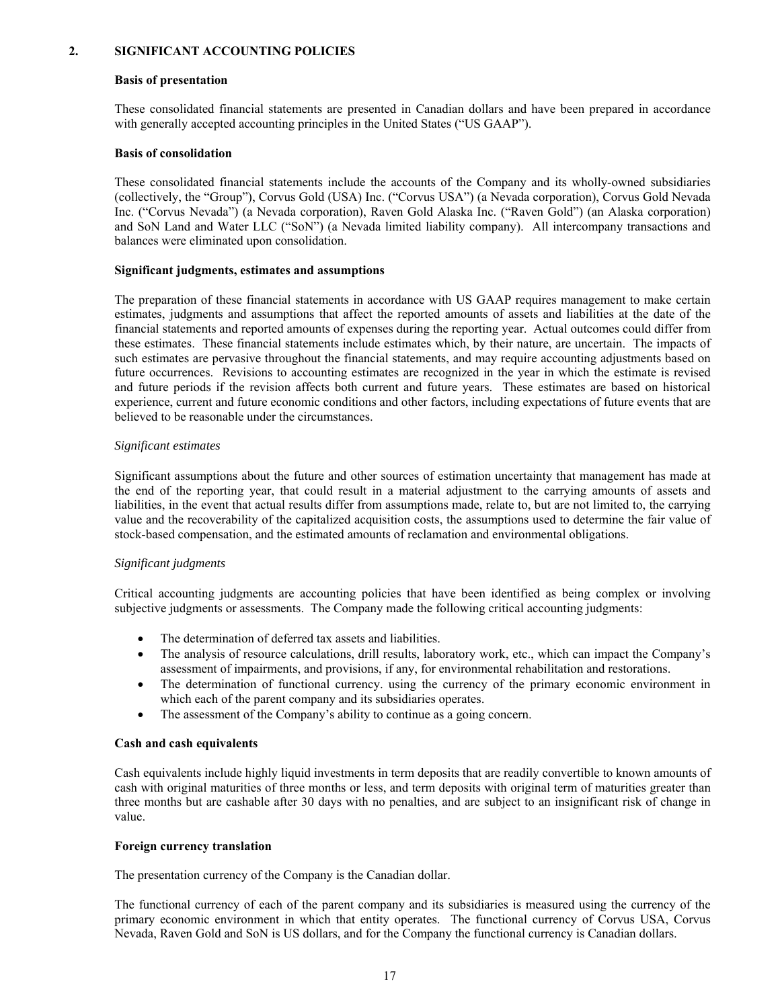## **2. SIGNIFICANT ACCOUNTING POLICIES**

#### **Basis of presentation**

These consolidated financial statements are presented in Canadian dollars and have been prepared in accordance with generally accepted accounting principles in the United States ("US GAAP").

#### **Basis of consolidation**

These consolidated financial statements include the accounts of the Company and its wholly-owned subsidiaries (collectively, the "Group"), Corvus Gold (USA) Inc. ("Corvus USA") (a Nevada corporation), Corvus Gold Nevada Inc. ("Corvus Nevada") (a Nevada corporation), Raven Gold Alaska Inc. ("Raven Gold") (an Alaska corporation) and SoN Land and Water LLC ("SoN") (a Nevada limited liability company). All intercompany transactions and balances were eliminated upon consolidation.

#### **Significant judgments, estimates and assumptions**

The preparation of these financial statements in accordance with US GAAP requires management to make certain estimates, judgments and assumptions that affect the reported amounts of assets and liabilities at the date of the financial statements and reported amounts of expenses during the reporting year. Actual outcomes could differ from these estimates. These financial statements include estimates which, by their nature, are uncertain. The impacts of such estimates are pervasive throughout the financial statements, and may require accounting adjustments based on future occurrences. Revisions to accounting estimates are recognized in the year in which the estimate is revised and future periods if the revision affects both current and future years. These estimates are based on historical experience, current and future economic conditions and other factors, including expectations of future events that are believed to be reasonable under the circumstances.

#### *Significant estimates*

Significant assumptions about the future and other sources of estimation uncertainty that management has made at the end of the reporting year, that could result in a material adjustment to the carrying amounts of assets and liabilities, in the event that actual results differ from assumptions made, relate to, but are not limited to, the carrying value and the recoverability of the capitalized acquisition costs, the assumptions used to determine the fair value of stock-based compensation, and the estimated amounts of reclamation and environmental obligations.

#### *Significant judgments*

Critical accounting judgments are accounting policies that have been identified as being complex or involving subjective judgments or assessments. The Company made the following critical accounting judgments:

- The determination of deferred tax assets and liabilities.
- The analysis of resource calculations, drill results, laboratory work, etc., which can impact the Company's assessment of impairments, and provisions, if any, for environmental rehabilitation and restorations.
- The determination of functional currency. using the currency of the primary economic environment in which each of the parent company and its subsidiaries operates.
- The assessment of the Company's ability to continue as a going concern.

#### **Cash and cash equivalents**

Cash equivalents include highly liquid investments in term deposits that are readily convertible to known amounts of cash with original maturities of three months or less, and term deposits with original term of maturities greater than three months but are cashable after 30 days with no penalties, and are subject to an insignificant risk of change in value.

#### **Foreign currency translation**

The presentation currency of the Company is the Canadian dollar.

The functional currency of each of the parent company and its subsidiaries is measured using the currency of the primary economic environment in which that entity operates. The functional currency of Corvus USA, Corvus Nevada, Raven Gold and SoN is US dollars, and for the Company the functional currency is Canadian dollars.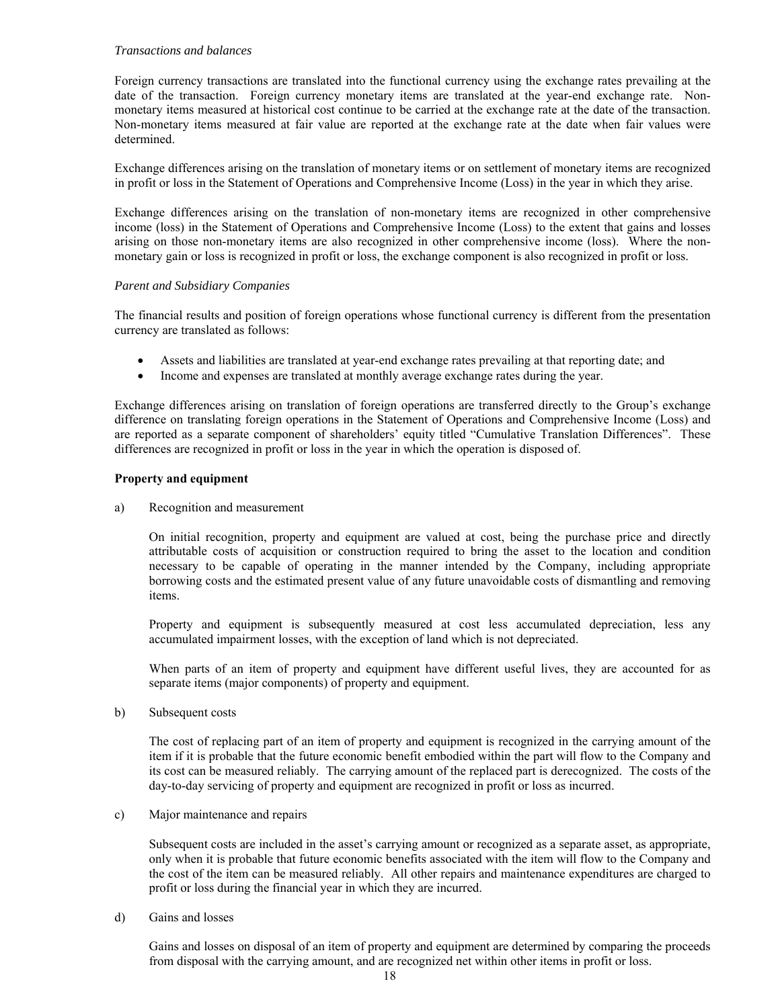#### *Transactions and balances*

Foreign currency transactions are translated into the functional currency using the exchange rates prevailing at the date of the transaction. Foreign currency monetary items are translated at the year-end exchange rate. Nonmonetary items measured at historical cost continue to be carried at the exchange rate at the date of the transaction. Non-monetary items measured at fair value are reported at the exchange rate at the date when fair values were determined.

Exchange differences arising on the translation of monetary items or on settlement of monetary items are recognized in profit or loss in the Statement of Operations and Comprehensive Income (Loss) in the year in which they arise.

Exchange differences arising on the translation of non-monetary items are recognized in other comprehensive income (loss) in the Statement of Operations and Comprehensive Income (Loss) to the extent that gains and losses arising on those non-monetary items are also recognized in other comprehensive income (loss). Where the nonmonetary gain or loss is recognized in profit or loss, the exchange component is also recognized in profit or loss.

#### *Parent and Subsidiary Companies*

The financial results and position of foreign operations whose functional currency is different from the presentation currency are translated as follows:

- Assets and liabilities are translated at year-end exchange rates prevailing at that reporting date; and
- Income and expenses are translated at monthly average exchange rates during the year.

Exchange differences arising on translation of foreign operations are transferred directly to the Group's exchange difference on translating foreign operations in the Statement of Operations and Comprehensive Income (Loss) and are reported as a separate component of shareholders' equity titled "Cumulative Translation Differences". These differences are recognized in profit or loss in the year in which the operation is disposed of.

#### **Property and equipment**

a) Recognition and measurement

On initial recognition, property and equipment are valued at cost, being the purchase price and directly attributable costs of acquisition or construction required to bring the asset to the location and condition necessary to be capable of operating in the manner intended by the Company, including appropriate borrowing costs and the estimated present value of any future unavoidable costs of dismantling and removing items.

Property and equipment is subsequently measured at cost less accumulated depreciation, less any accumulated impairment losses, with the exception of land which is not depreciated.

When parts of an item of property and equipment have different useful lives, they are accounted for as separate items (major components) of property and equipment.

b) Subsequent costs

The cost of replacing part of an item of property and equipment is recognized in the carrying amount of the item if it is probable that the future economic benefit embodied within the part will flow to the Company and its cost can be measured reliably. The carrying amount of the replaced part is derecognized. The costs of the day-to-day servicing of property and equipment are recognized in profit or loss as incurred.

c) Major maintenance and repairs

Subsequent costs are included in the asset's carrying amount or recognized as a separate asset, as appropriate, only when it is probable that future economic benefits associated with the item will flow to the Company and the cost of the item can be measured reliably. All other repairs and maintenance expenditures are charged to profit or loss during the financial year in which they are incurred.

d) Gains and losses

Gains and losses on disposal of an item of property and equipment are determined by comparing the proceeds from disposal with the carrying amount, and are recognized net within other items in profit or loss.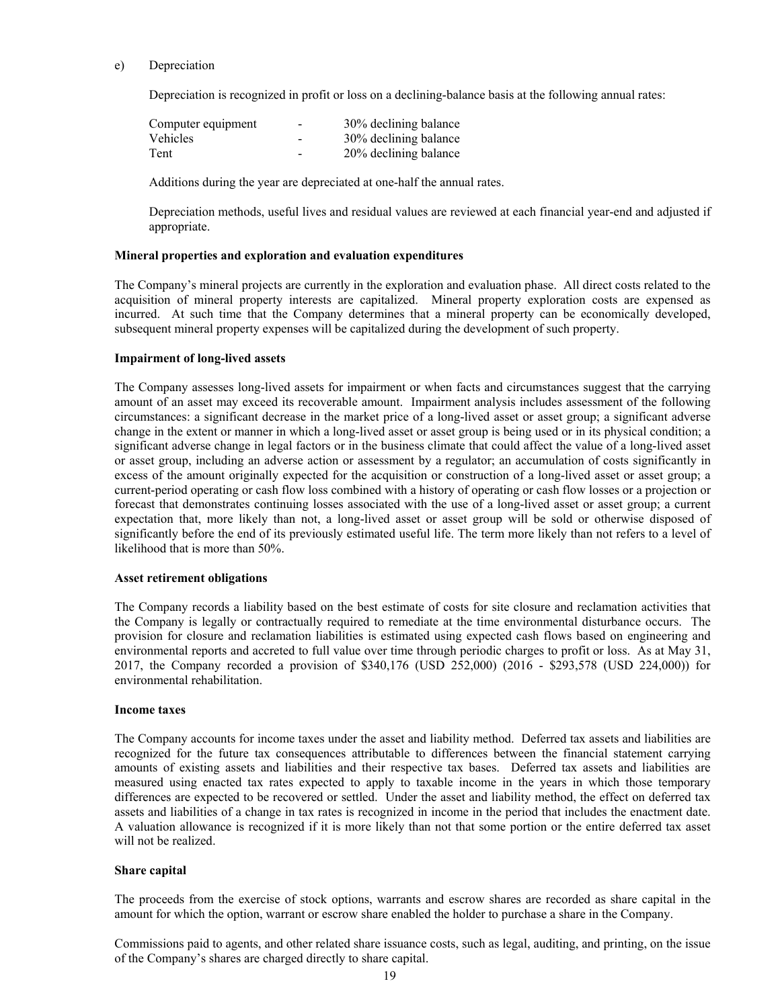#### e) Depreciation

Depreciation is recognized in profit or loss on a declining-balance basis at the following annual rates:

| Computer equipment | $\overline{\phantom{0}}$ | 30% declining balance |
|--------------------|--------------------------|-----------------------|
| <b>Vehicles</b>    |                          | 30% declining balance |
| Tent               |                          | 20% declining balance |

Additions during the year are depreciated at one-half the annual rates.

Depreciation methods, useful lives and residual values are reviewed at each financial year-end and adjusted if appropriate.

#### **Mineral properties and exploration and evaluation expenditures**

The Company's mineral projects are currently in the exploration and evaluation phase. All direct costs related to the acquisition of mineral property interests are capitalized. Mineral property exploration costs are expensed as incurred. At such time that the Company determines that a mineral property can be economically developed, subsequent mineral property expenses will be capitalized during the development of such property.

#### **Impairment of long-lived assets**

The Company assesses long-lived assets for impairment or when facts and circumstances suggest that the carrying amount of an asset may exceed its recoverable amount. Impairment analysis includes assessment of the following circumstances: a significant decrease in the market price of a long-lived asset or asset group; a significant adverse change in the extent or manner in which a long-lived asset or asset group is being used or in its physical condition; a significant adverse change in legal factors or in the business climate that could affect the value of a long-lived asset or asset group, including an adverse action or assessment by a regulator; an accumulation of costs significantly in excess of the amount originally expected for the acquisition or construction of a long-lived asset or asset group; a current-period operating or cash flow loss combined with a history of operating or cash flow losses or a projection or forecast that demonstrates continuing losses associated with the use of a long-lived asset or asset group; a current expectation that, more likely than not, a long-lived asset or asset group will be sold or otherwise disposed of significantly before the end of its previously estimated useful life. The term more likely than not refers to a level of likelihood that is more than 50%.

#### **Asset retirement obligations**

The Company records a liability based on the best estimate of costs for site closure and reclamation activities that the Company is legally or contractually required to remediate at the time environmental disturbance occurs. The provision for closure and reclamation liabilities is estimated using expected cash flows based on engineering and environmental reports and accreted to full value over time through periodic charges to profit or loss. As at May 31, 2017, the Company recorded a provision of \$340,176 (USD 252,000) (2016 - \$293,578 (USD 224,000)) for environmental rehabilitation.

#### **Income taxes**

The Company accounts for income taxes under the asset and liability method. Deferred tax assets and liabilities are recognized for the future tax consequences attributable to differences between the financial statement carrying amounts of existing assets and liabilities and their respective tax bases. Deferred tax assets and liabilities are measured using enacted tax rates expected to apply to taxable income in the years in which those temporary differences are expected to be recovered or settled. Under the asset and liability method, the effect on deferred tax assets and liabilities of a change in tax rates is recognized in income in the period that includes the enactment date. A valuation allowance is recognized if it is more likely than not that some portion or the entire deferred tax asset will not be realized.

#### **Share capital**

The proceeds from the exercise of stock options, warrants and escrow shares are recorded as share capital in the amount for which the option, warrant or escrow share enabled the holder to purchase a share in the Company.

Commissions paid to agents, and other related share issuance costs, such as legal, auditing, and printing, on the issue of the Company's shares are charged directly to share capital.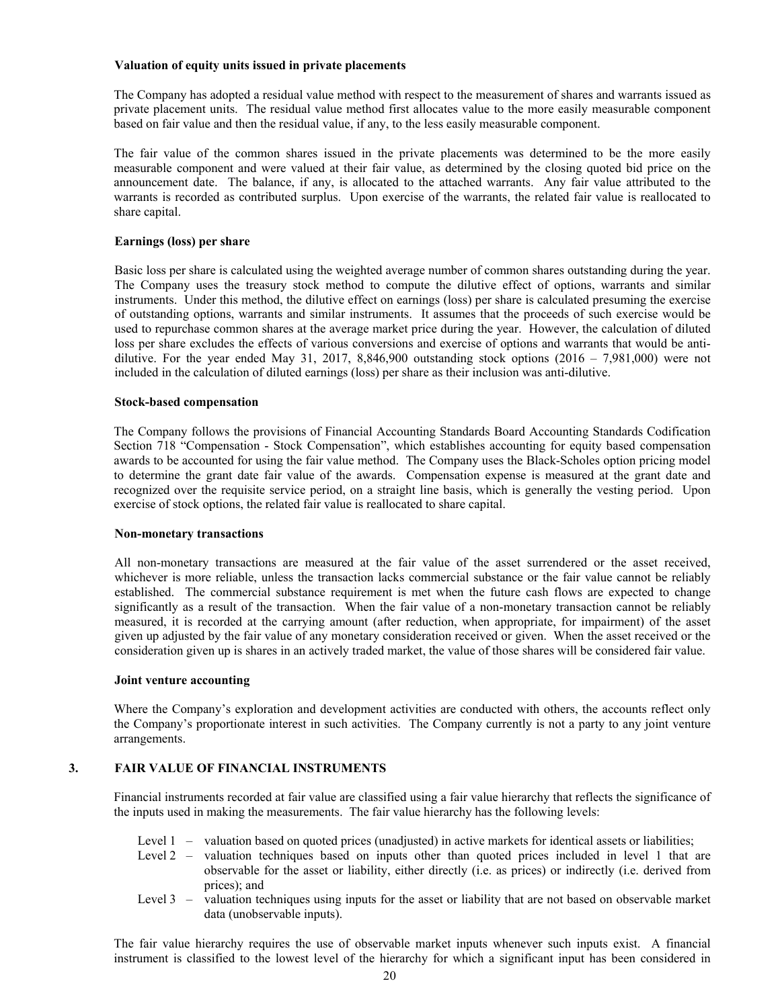#### **Valuation of equity units issued in private placements**

The Company has adopted a residual value method with respect to the measurement of shares and warrants issued as private placement units. The residual value method first allocates value to the more easily measurable component based on fair value and then the residual value, if any, to the less easily measurable component.

The fair value of the common shares issued in the private placements was determined to be the more easily measurable component and were valued at their fair value, as determined by the closing quoted bid price on the announcement date. The balance, if any, is allocated to the attached warrants. Any fair value attributed to the warrants is recorded as contributed surplus. Upon exercise of the warrants, the related fair value is reallocated to share capital.

## **Earnings (loss) per share**

Basic loss per share is calculated using the weighted average number of common shares outstanding during the year. The Company uses the treasury stock method to compute the dilutive effect of options, warrants and similar instruments. Under this method, the dilutive effect on earnings (loss) per share is calculated presuming the exercise of outstanding options, warrants and similar instruments. It assumes that the proceeds of such exercise would be used to repurchase common shares at the average market price during the year. However, the calculation of diluted loss per share excludes the effects of various conversions and exercise of options and warrants that would be antidilutive. For the year ended May 31, 2017, 8,846,900 outstanding stock options  $(2016 - 7,981,000)$  were not included in the calculation of diluted earnings (loss) per share as their inclusion was anti-dilutive.

## **Stock-based compensation**

The Company follows the provisions of Financial Accounting Standards Board Accounting Standards Codification Section 718 "Compensation - Stock Compensation", which establishes accounting for equity based compensation awards to be accounted for using the fair value method. The Company uses the Black-Scholes option pricing model to determine the grant date fair value of the awards. Compensation expense is measured at the grant date and recognized over the requisite service period, on a straight line basis, which is generally the vesting period. Upon exercise of stock options, the related fair value is reallocated to share capital.

#### **Non-monetary transactions**

All non-monetary transactions are measured at the fair value of the asset surrendered or the asset received, whichever is more reliable, unless the transaction lacks commercial substance or the fair value cannot be reliably established. The commercial substance requirement is met when the future cash flows are expected to change significantly as a result of the transaction. When the fair value of a non-monetary transaction cannot be reliably measured, it is recorded at the carrying amount (after reduction, when appropriate, for impairment) of the asset given up adjusted by the fair value of any monetary consideration received or given. When the asset received or the consideration given up is shares in an actively traded market, the value of those shares will be considered fair value.

#### **Joint venture accounting**

Where the Company's exploration and development activities are conducted with others, the accounts reflect only the Company's proportionate interest in such activities. The Company currently is not a party to any joint venture arrangements.

## **3. FAIR VALUE OF FINANCIAL INSTRUMENTS**

Financial instruments recorded at fair value are classified using a fair value hierarchy that reflects the significance of the inputs used in making the measurements. The fair value hierarchy has the following levels:

- Level 1 valuation based on quoted prices (unadjusted) in active markets for identical assets or liabilities;
- Level 2 valuation techniques based on inputs other than quoted prices included in level 1 that are observable for the asset or liability, either directly (i.e. as prices) or indirectly (i.e. derived from prices); and
- Level 3 valuation techniques using inputs for the asset or liability that are not based on observable market data (unobservable inputs).

The fair value hierarchy requires the use of observable market inputs whenever such inputs exist. A financial instrument is classified to the lowest level of the hierarchy for which a significant input has been considered in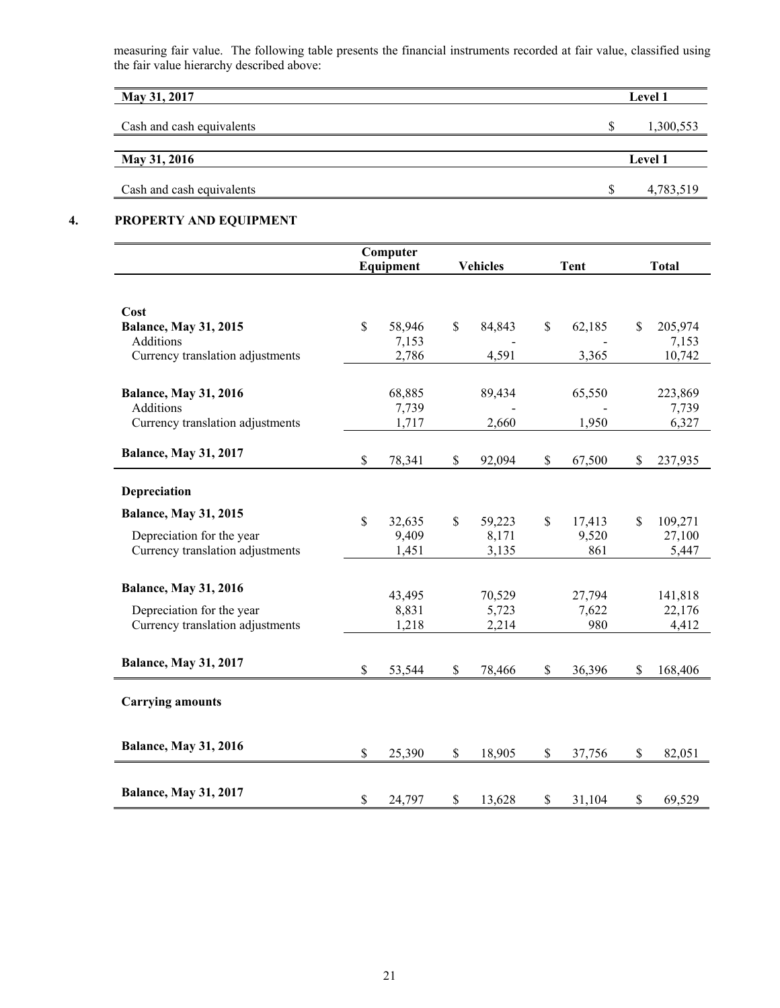measuring fair value. The following table presents the financial instruments recorded at fair value, classified using the fair value hierarchy described above:

| May 31, 2017              | Level 1        |
|---------------------------|----------------|
| Cash and cash equivalents | 1,300,553<br>S |
|                           |                |
| May 31, 2016              | <b>Level 1</b> |
| Cash and cash equivalents | S<br>4,783,519 |

## **4. PROPERTY AND EQUIPMENT**

|                                  | Computer<br>Equipment |                 |              |                 |                       | <b>Total</b>  |                   |
|----------------------------------|-----------------------|-----------------|--------------|-----------------|-----------------------|---------------|-------------------|
|                                  |                       |                 |              | <b>Vehicles</b> | <b>Tent</b>           |               |                   |
|                                  |                       |                 |              |                 |                       |               |                   |
| Cost                             |                       |                 |              |                 |                       |               |                   |
| <b>Balance, May 31, 2015</b>     | $\mathbf S$           | 58,946          | $\mathbb{S}$ | 84,843          | \$<br>62,185          | \$            | 205,974           |
| Additions                        |                       | 7,153           |              |                 |                       |               | 7,153             |
| Currency translation adjustments |                       | 2,786           |              | 4,591           | 3,365                 |               | 10,742            |
|                                  |                       |                 |              |                 |                       |               |                   |
| <b>Balance, May 31, 2016</b>     |                       | 68,885          |              | 89,434          | 65,550                |               | 223,869           |
| Additions                        |                       | 7,739           |              |                 |                       |               | 7,739             |
| Currency translation adjustments |                       | 1,717           |              | 2,660           | 1,950                 |               | 6,327             |
|                                  |                       |                 |              |                 |                       |               |                   |
| <b>Balance, May 31, 2017</b>     | \$                    | 78,341          | \$           | 92,094          | \$<br>67,500          | <sup>\$</sup> | 237,935           |
|                                  |                       |                 |              |                 |                       |               |                   |
| Depreciation                     |                       |                 |              |                 |                       |               |                   |
| <b>Balance, May 31, 2015</b>     |                       |                 |              |                 |                       |               |                   |
| Depreciation for the year        | \$                    | 32,635<br>9,409 | \$           | 59,223<br>8,171 | \$<br>17,413<br>9,520 | \$            | 109,271<br>27,100 |
| Currency translation adjustments |                       | 1,451           |              | 3,135           | 861                   |               | 5,447             |
|                                  |                       |                 |              |                 |                       |               |                   |
| <b>Balance, May 31, 2016</b>     |                       |                 |              |                 |                       |               |                   |
|                                  |                       | 43,495          |              | 70,529          | 27,794                |               | 141,818           |
| Depreciation for the year        |                       | 8,831           |              | 5,723           | 7,622                 |               | 22,176            |
| Currency translation adjustments |                       | 1,218           |              | 2,214           | 980                   |               | 4,412             |
|                                  |                       |                 |              |                 |                       |               |                   |
| <b>Balance, May 31, 2017</b>     | \$                    | 53,544          | \$           | 78,466          | \$<br>36,396          | \$            | 168,406           |
|                                  |                       |                 |              |                 |                       |               |                   |
| <b>Carrying amounts</b>          |                       |                 |              |                 |                       |               |                   |
|                                  |                       |                 |              |                 |                       |               |                   |
|                                  |                       |                 |              |                 |                       |               |                   |
| <b>Balance, May 31, 2016</b>     | \$                    | 25,390          | \$           | 18,905          | \$<br>37,756          | \$            | 82,051            |
|                                  |                       |                 |              |                 |                       |               |                   |
| <b>Balance, May 31, 2017</b>     |                       |                 |              |                 |                       |               |                   |
|                                  | \$                    | 24,797          | \$           | 13,628          | \$<br>31,104          | \$            | 69,529            |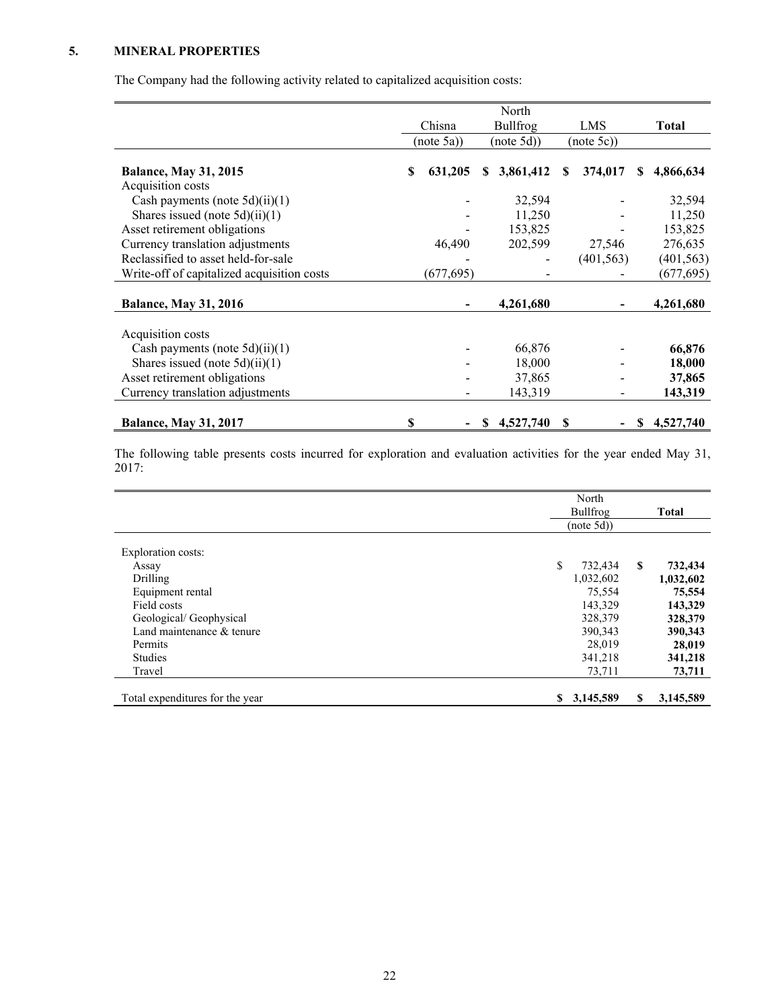## **5. MINERAL PROPERTIES**

The Company had the following activity related to capitalized acquisition costs:

|                                            |    | Chisna     | <b>Bullfrog</b> | LMS          |    | Total      |
|--------------------------------------------|----|------------|-----------------|--------------|----|------------|
|                                            |    | (note 5a)  | (note 5d)       | (note 5c)    |    |            |
| <b>Balance, May 31, 2015</b>               | S  | 631,205    | 3,861,412<br>S  | 374,017<br>S | S. | 4,866,634  |
| Acquisition costs                          |    |            |                 |              |    |            |
| Cash payments (note $5d$ )(ii)(1)          |    |            | 32,594          |              |    | 32,594     |
| Shares issued (note $5d$ )(ii)(1)          |    |            | 11,250          |              |    | 11,250     |
| Asset retirement obligations               |    |            | 153,825         |              |    | 153,825    |
| Currency translation adjustments           |    | 46,490     | 202,599         | 27,546       |    | 276,635    |
| Reclassified to asset held-for-sale        |    |            |                 | (401, 563)   |    | (401, 563) |
| Write-off of capitalized acquisition costs |    | (677, 695) |                 |              |    | (677, 695) |
| <b>Balance, May 31, 2016</b>               |    |            | 4,261,680       |              |    | 4,261,680  |
| Acquisition costs                          |    |            |                 |              |    |            |
| Cash payments (note $5d$ )(ii)(1)          |    |            | 66,876          |              |    | 66,876     |
| Shares issued (note $5d$ )(ii)(1)          |    |            | 18,000          |              |    | 18,000     |
| Asset retirement obligations               |    |            | 37,865          |              |    | 37,865     |
| Currency translation adjustments           |    |            | 143,319         |              |    | 143,319    |
| <b>Balance, May 31, 2017</b>               | \$ |            | 4,527,740       | S            |    | 4,527,740  |

The following table presents costs incurred for exploration and evaluation activities for the year ended May 31, 2017:

|                                 | North         |   |              |
|---------------------------------|---------------|---|--------------|
|                                 | Bullfrog      |   | <b>Total</b> |
|                                 | (note 5d)     |   |              |
|                                 |               |   |              |
| Exploration costs:              |               |   |              |
| Assay                           | \$<br>732,434 | S | 732,434      |
| Drilling                        | 1,032,602     |   | 1,032,602    |
| Equipment rental                | 75,554        |   | 75,554       |
| Field costs                     | 143,329       |   | 143,329      |
| Geological/ Geophysical         | 328,379       |   | 328,379      |
| Land maintenance & tenure       | 390,343       |   | 390,343      |
| Permits                         | 28,019        |   | 28,019       |
| <b>Studies</b>                  | 341,218       |   | 341,218      |
| Travel                          | 73,711        |   | 73,711       |
|                                 |               |   |              |
| Total expenditures for the year | \$ 3,145,589  | S | 3,145,589    |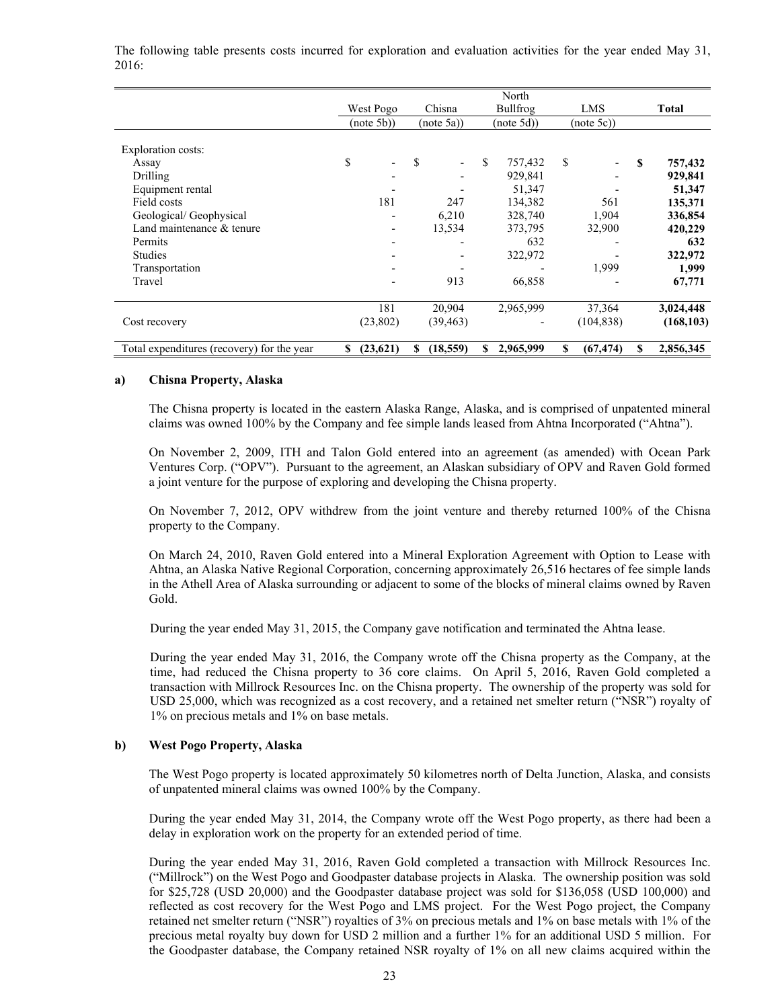|                                            | North |           |     |                          |    |           |    |            |   |              |
|--------------------------------------------|-------|-----------|-----|--------------------------|----|-----------|----|------------|---|--------------|
|                                            |       | West Pogo |     | Chisna                   |    | Bullfrog  |    | LMS        |   | <b>Total</b> |
|                                            |       | (note 5b) |     | (note 5a)                |    | (note 5d) |    | (note 5c)  |   |              |
|                                            |       |           |     |                          |    |           |    |            |   |              |
| <b>Exploration costs:</b>                  |       |           |     |                          |    |           |    |            |   |              |
| Assay                                      | \$    |           | \$. | $\overline{\phantom{a}}$ | \$ | 757,432   | \$ |            | S | 757,432      |
| Drilling                                   |       |           |     |                          |    | 929,841   |    |            |   | 929,841      |
| Equipment rental                           |       |           |     |                          |    | 51,347    |    |            |   | 51,347       |
| Field costs                                |       | 181       |     | 247                      |    | 134,382   |    | 561        |   | 135,371      |
| Geological/Geophysical                     |       |           |     | 6,210                    |    | 328,740   |    | 1.904      |   | 336,854      |
| Land maintenance & tenure                  |       |           |     | 13,534                   |    | 373,795   |    | 32,900     |   | 420,229      |
| Permits                                    |       |           |     |                          |    | 632       |    |            |   | 632          |
| Studies                                    |       |           |     |                          |    | 322,972   |    |            |   | 322,972      |
| Transportation                             |       |           |     |                          |    |           |    | 1,999      |   | 1,999        |
| Travel                                     |       |           |     | 913                      |    | 66,858    |    |            |   | 67,771       |
|                                            |       |           |     |                          |    |           |    |            |   |              |
|                                            |       | 181       |     | 20,904                   |    | 2,965,999 |    | 37,364     |   | 3,024,448    |
| Cost recovery                              |       | (23,802)  |     | (39, 463)                |    |           |    | (104, 838) |   | (168, 103)   |
|                                            |       |           |     |                          |    |           |    |            |   |              |
| Total expenditures (recovery) for the year | \$    | (23, 621) | S   | (18, 559)                | \$ | 2,965,999 | S  | (67, 474)  | S | 2,856,345    |

The following table presents costs incurred for exploration and evaluation activities for the year ended May 31, 2016:

#### **a) Chisna Property, Alaska**

The Chisna property is located in the eastern Alaska Range, Alaska, and is comprised of unpatented mineral claims was owned 100% by the Company and fee simple lands leased from Ahtna Incorporated ("Ahtna").

On November 2, 2009, ITH and Talon Gold entered into an agreement (as amended) with Ocean Park Ventures Corp. ("OPV"). Pursuant to the agreement, an Alaskan subsidiary of OPV and Raven Gold formed a joint venture for the purpose of exploring and developing the Chisna property.

On November 7, 2012, OPV withdrew from the joint venture and thereby returned 100% of the Chisna property to the Company.

On March 24, 2010, Raven Gold entered into a Mineral Exploration Agreement with Option to Lease with Ahtna, an Alaska Native Regional Corporation, concerning approximately 26,516 hectares of fee simple lands in the Athell Area of Alaska surrounding or adjacent to some of the blocks of mineral claims owned by Raven Gold.

During the year ended May 31, 2015, the Company gave notification and terminated the Ahtna lease.

During the year ended May 31, 2016, the Company wrote off the Chisna property as the Company, at the time, had reduced the Chisna property to 36 core claims. On April 5, 2016, Raven Gold completed a transaction with Millrock Resources Inc. on the Chisna property. The ownership of the property was sold for USD 25,000, which was recognized as a cost recovery, and a retained net smelter return ("NSR") royalty of 1% on precious metals and 1% on base metals.

#### **b) West Pogo Property, Alaska**

The West Pogo property is located approximately 50 kilometres north of Delta Junction, Alaska, and consists of unpatented mineral claims was owned 100% by the Company.

During the year ended May 31, 2014, the Company wrote off the West Pogo property, as there had been a delay in exploration work on the property for an extended period of time.

During the year ended May 31, 2016, Raven Gold completed a transaction with Millrock Resources Inc. ("Millrock") on the West Pogo and Goodpaster database projects in Alaska. The ownership position was sold for \$25,728 (USD 20,000) and the Goodpaster database project was sold for \$136,058 (USD 100,000) and reflected as cost recovery for the West Pogo and LMS project. For the West Pogo project, the Company retained net smelter return ("NSR") royalties of 3% on precious metals and 1% on base metals with 1% of the precious metal royalty buy down for USD 2 million and a further 1% for an additional USD 5 million. For the Goodpaster database, the Company retained NSR royalty of 1% on all new claims acquired within the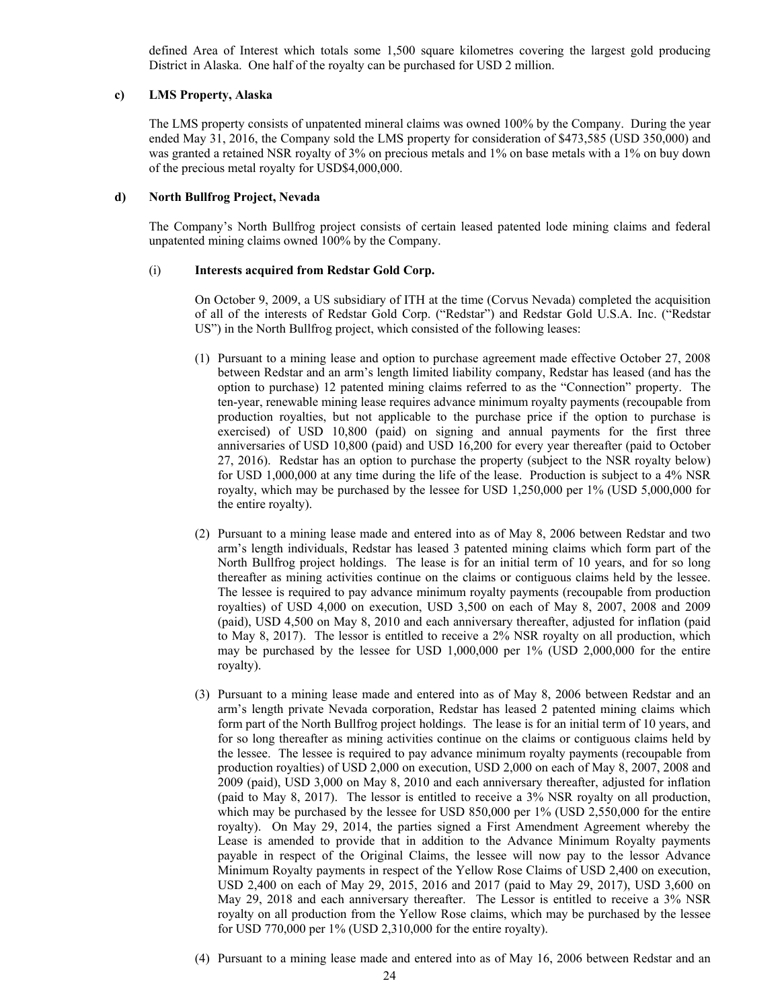defined Area of Interest which totals some 1,500 square kilometres covering the largest gold producing District in Alaska. One half of the royalty can be purchased for USD 2 million.

#### **c) LMS Property, Alaska**

The LMS property consists of unpatented mineral claims was owned 100% by the Company. During the year ended May 31, 2016, the Company sold the LMS property for consideration of \$473,585 (USD 350,000) and was granted a retained NSR royalty of 3% on precious metals and 1% on base metals with a 1% on buy down of the precious metal royalty for USD\$4,000,000.

#### **d) North Bullfrog Project, Nevada**

The Company's North Bullfrog project consists of certain leased patented lode mining claims and federal unpatented mining claims owned 100% by the Company.

#### (i) **Interests acquired from Redstar Gold Corp.**

On October 9, 2009, a US subsidiary of ITH at the time (Corvus Nevada) completed the acquisition of all of the interests of Redstar Gold Corp. ("Redstar") and Redstar Gold U.S.A. Inc. ("Redstar US") in the North Bullfrog project, which consisted of the following leases:

- (1) Pursuant to a mining lease and option to purchase agreement made effective October 27, 2008 between Redstar and an arm's length limited liability company, Redstar has leased (and has the option to purchase) 12 patented mining claims referred to as the "Connection" property. The ten-year, renewable mining lease requires advance minimum royalty payments (recoupable from production royalties, but not applicable to the purchase price if the option to purchase is exercised) of USD 10,800 (paid) on signing and annual payments for the first three anniversaries of USD 10,800 (paid) and USD 16,200 for every year thereafter (paid to October 27, 2016). Redstar has an option to purchase the property (subject to the NSR royalty below) for USD 1,000,000 at any time during the life of the lease. Production is subject to a 4% NSR royalty, which may be purchased by the lessee for USD 1,250,000 per 1% (USD 5,000,000 for the entire royalty).
- (2) Pursuant to a mining lease made and entered into as of May 8, 2006 between Redstar and two arm's length individuals, Redstar has leased 3 patented mining claims which form part of the North Bullfrog project holdings. The lease is for an initial term of 10 years, and for so long thereafter as mining activities continue on the claims or contiguous claims held by the lessee. The lessee is required to pay advance minimum royalty payments (recoupable from production royalties) of USD 4,000 on execution, USD 3,500 on each of May 8, 2007, 2008 and 2009 (paid), USD 4,500 on May 8, 2010 and each anniversary thereafter, adjusted for inflation (paid to May 8, 2017). The lessor is entitled to receive a 2% NSR royalty on all production, which may be purchased by the lessee for USD 1,000,000 per 1% (USD 2,000,000 for the entire royalty).
- (3) Pursuant to a mining lease made and entered into as of May 8, 2006 between Redstar and an arm's length private Nevada corporation, Redstar has leased 2 patented mining claims which form part of the North Bullfrog project holdings. The lease is for an initial term of 10 years, and for so long thereafter as mining activities continue on the claims or contiguous claims held by the lessee. The lessee is required to pay advance minimum royalty payments (recoupable from production royalties) of USD 2,000 on execution, USD 2,000 on each of May 8, 2007, 2008 and 2009 (paid), USD 3,000 on May 8, 2010 and each anniversary thereafter, adjusted for inflation (paid to May 8, 2017). The lessor is entitled to receive a 3% NSR royalty on all production, which may be purchased by the lessee for USD 850,000 per 1% (USD 2,550,000 for the entire royalty). On May 29, 2014, the parties signed a First Amendment Agreement whereby the Lease is amended to provide that in addition to the Advance Minimum Royalty payments payable in respect of the Original Claims, the lessee will now pay to the lessor Advance Minimum Royalty payments in respect of the Yellow Rose Claims of USD 2,400 on execution, USD 2,400 on each of May 29, 2015, 2016 and 2017 (paid to May 29, 2017), USD 3,600 on May 29, 2018 and each anniversary thereafter. The Lessor is entitled to receive a 3% NSR royalty on all production from the Yellow Rose claims, which may be purchased by the lessee for USD 770,000 per 1% (USD 2,310,000 for the entire royalty).
- (4) Pursuant to a mining lease made and entered into as of May 16, 2006 between Redstar and an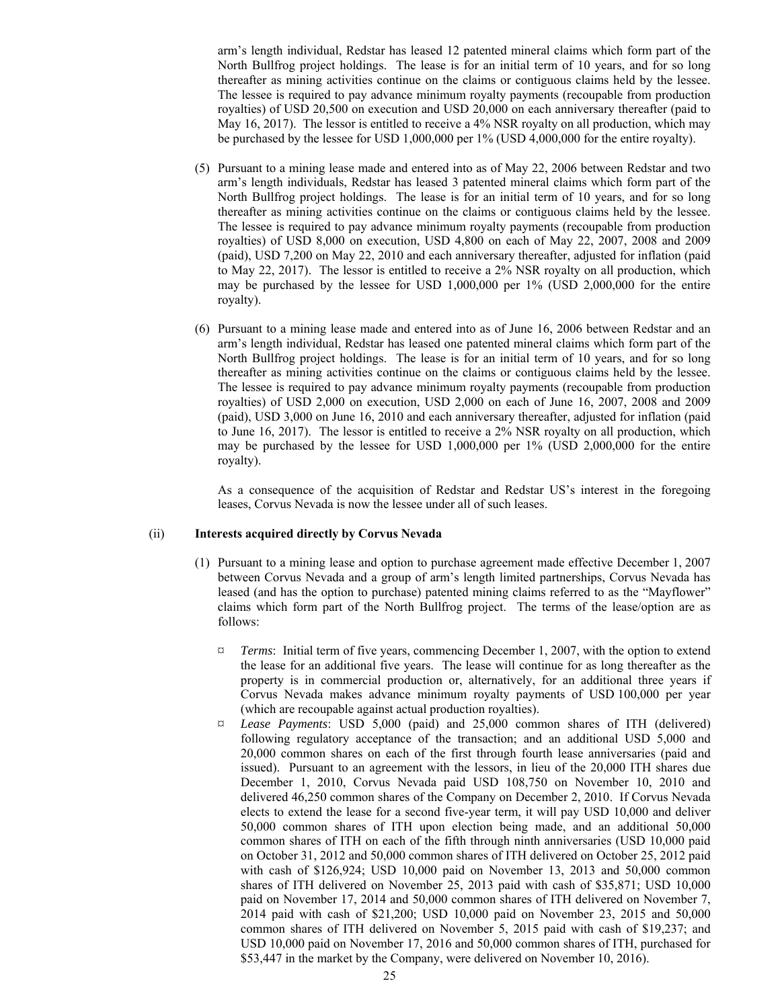arm's length individual, Redstar has leased 12 patented mineral claims which form part of the North Bullfrog project holdings. The lease is for an initial term of 10 years, and for so long thereafter as mining activities continue on the claims or contiguous claims held by the lessee. The lessee is required to pay advance minimum royalty payments (recoupable from production royalties) of USD 20,500 on execution and USD 20,000 on each anniversary thereafter (paid to May 16, 2017). The lessor is entitled to receive a 4% NSR royalty on all production, which may be purchased by the lessee for USD 1,000,000 per 1% (USD 4,000,000 for the entire royalty).

- (5) Pursuant to a mining lease made and entered into as of May 22, 2006 between Redstar and two arm's length individuals, Redstar has leased 3 patented mineral claims which form part of the North Bullfrog project holdings. The lease is for an initial term of 10 years, and for so long thereafter as mining activities continue on the claims or contiguous claims held by the lessee. The lessee is required to pay advance minimum royalty payments (recoupable from production royalties) of USD 8,000 on execution, USD 4,800 on each of May 22, 2007, 2008 and 2009 (paid), USD 7,200 on May 22, 2010 and each anniversary thereafter, adjusted for inflation (paid to May 22, 2017). The lessor is entitled to receive a 2% NSR royalty on all production, which may be purchased by the lessee for USD 1,000,000 per 1% (USD 2,000,000 for the entire royalty).
- (6) Pursuant to a mining lease made and entered into as of June 16, 2006 between Redstar and an arm's length individual, Redstar has leased one patented mineral claims which form part of the North Bullfrog project holdings. The lease is for an initial term of 10 years, and for so long thereafter as mining activities continue on the claims or contiguous claims held by the lessee. The lessee is required to pay advance minimum royalty payments (recoupable from production royalties) of USD 2,000 on execution, USD 2,000 on each of June 16, 2007, 2008 and 2009 (paid), USD 3,000 on June 16, 2010 and each anniversary thereafter, adjusted for inflation (paid to June 16, 2017). The lessor is entitled to receive a 2% NSR royalty on all production, which may be purchased by the lessee for USD 1,000,000 per 1% (USD 2,000,000 for the entire royalty).

As a consequence of the acquisition of Redstar and Redstar US's interest in the foregoing leases, Corvus Nevada is now the lessee under all of such leases.

#### (ii) **Interests acquired directly by Corvus Nevada**

- (1) Pursuant to a mining lease and option to purchase agreement made effective December 1, 2007 between Corvus Nevada and a group of arm's length limited partnerships, Corvus Nevada has leased (and has the option to purchase) patented mining claims referred to as the "Mayflower" claims which form part of the North Bullfrog project. The terms of the lease/option are as follows:
	- ¤ *Terms*: Initial term of five years, commencing December 1, 2007, with the option to extend the lease for an additional five years. The lease will continue for as long thereafter as the property is in commercial production or, alternatively, for an additional three years if Corvus Nevada makes advance minimum royalty payments of USD 100,000 per year (which are recoupable against actual production royalties).
	- ¤ *Lease Payments*: USD 5,000 (paid) and 25,000 common shares of ITH (delivered) following regulatory acceptance of the transaction; and an additional USD 5,000 and 20,000 common shares on each of the first through fourth lease anniversaries (paid and issued). Pursuant to an agreement with the lessors, in lieu of the 20,000 ITH shares due December 1, 2010, Corvus Nevada paid USD 108,750 on November 10, 2010 and delivered 46,250 common shares of the Company on December 2, 2010. If Corvus Nevada elects to extend the lease for a second five-year term, it will pay USD 10,000 and deliver 50,000 common shares of ITH upon election being made, and an additional 50,000 common shares of ITH on each of the fifth through ninth anniversaries (USD 10,000 paid on October 31, 2012 and 50,000 common shares of ITH delivered on October 25, 2012 paid with cash of \$126,924; USD 10,000 paid on November 13, 2013 and 50,000 common shares of ITH delivered on November 25, 2013 paid with cash of \$35,871; USD 10,000 paid on November 17, 2014 and 50,000 common shares of ITH delivered on November 7, 2014 paid with cash of \$21,200; USD 10,000 paid on November 23, 2015 and 50,000 common shares of ITH delivered on November 5, 2015 paid with cash of \$19,237; and USD 10,000 paid on November 17, 2016 and 50,000 common shares of ITH, purchased for \$53,447 in the market by the Company, were delivered on November 10, 2016).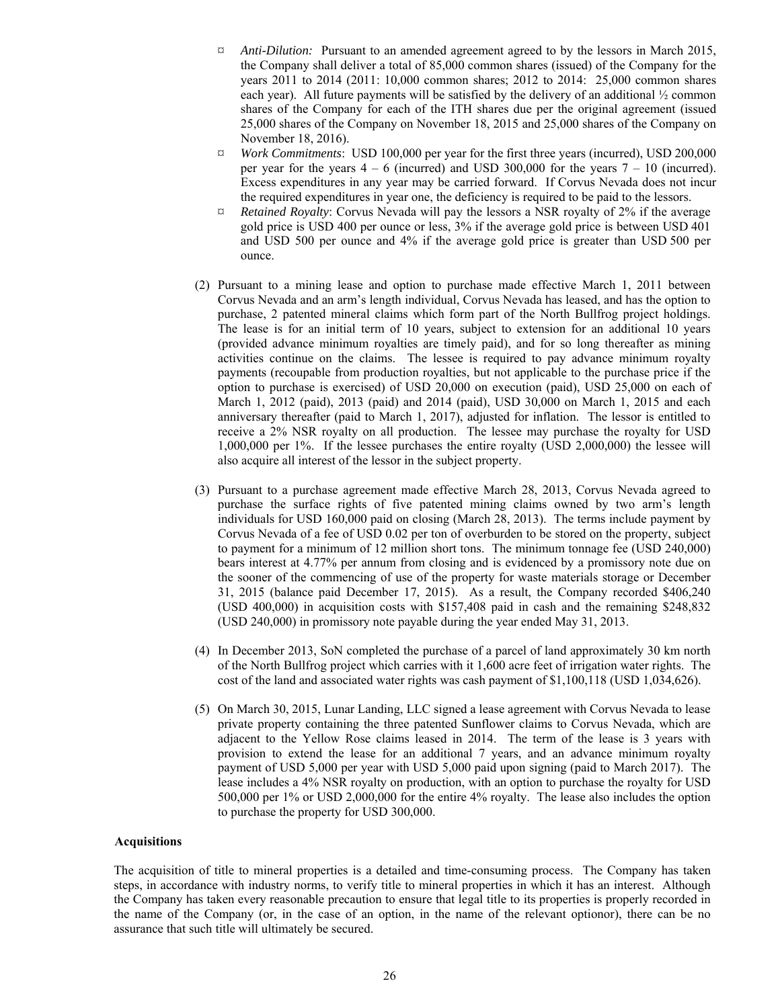- ¤ *Anti-Dilution:* Pursuant to an amended agreement agreed to by the lessors in March 2015, the Company shall deliver a total of 85,000 common shares (issued) of the Company for the years 2011 to 2014 (2011: 10,000 common shares; 2012 to 2014: 25,000 common shares each year). All future payments will be satisfied by the delivery of an additional ½ common shares of the Company for each of the ITH shares due per the original agreement (issued 25,000 shares of the Company on November 18, 2015 and 25,000 shares of the Company on November 18, 2016).
- ¤ *Work Commitments*: USD 100,000 per year for the first three years (incurred), USD 200,000 per year for the years  $4 - 6$  (incurred) and USD 300,000 for the years  $7 - 10$  (incurred). Excess expenditures in any year may be carried forward. If Corvus Nevada does not incur the required expenditures in year one, the deficiency is required to be paid to the lessors.
- ¤ *Retained Royalty*: Corvus Nevada will pay the lessors a NSR royalty of 2% if the average gold price is USD 400 per ounce or less, 3% if the average gold price is between USD 401 and USD 500 per ounce and 4% if the average gold price is greater than USD 500 per ounce.
- (2) Pursuant to a mining lease and option to purchase made effective March 1, 2011 between Corvus Nevada and an arm's length individual, Corvus Nevada has leased, and has the option to purchase, 2 patented mineral claims which form part of the North Bullfrog project holdings. The lease is for an initial term of 10 years, subject to extension for an additional 10 years (provided advance minimum royalties are timely paid), and for so long thereafter as mining activities continue on the claims. The lessee is required to pay advance minimum royalty payments (recoupable from production royalties, but not applicable to the purchase price if the option to purchase is exercised) of USD 20,000 on execution (paid), USD 25,000 on each of March 1, 2012 (paid), 2013 (paid) and 2014 (paid), USD 30,000 on March 1, 2015 and each anniversary thereafter (paid to March 1, 2017), adjusted for inflation. The lessor is entitled to receive a 2% NSR royalty on all production. The lessee may purchase the royalty for USD 1,000,000 per 1%. If the lessee purchases the entire royalty (USD 2,000,000) the lessee will also acquire all interest of the lessor in the subject property.
- (3) Pursuant to a purchase agreement made effective March 28, 2013, Corvus Nevada agreed to purchase the surface rights of five patented mining claims owned by two arm's length individuals for USD 160,000 paid on closing (March 28, 2013). The terms include payment by Corvus Nevada of a fee of USD 0.02 per ton of overburden to be stored on the property, subject to payment for a minimum of 12 million short tons. The minimum tonnage fee (USD 240,000) bears interest at 4.77% per annum from closing and is evidenced by a promissory note due on the sooner of the commencing of use of the property for waste materials storage or December 31, 2015 (balance paid December 17, 2015). As a result, the Company recorded \$406,240 (USD 400,000) in acquisition costs with \$157,408 paid in cash and the remaining \$248,832 (USD 240,000) in promissory note payable during the year ended May 31, 2013.
- (4) In December 2013, SoN completed the purchase of a parcel of land approximately 30 km north of the North Bullfrog project which carries with it 1,600 acre feet of irrigation water rights. The cost of the land and associated water rights was cash payment of \$1,100,118 (USD 1,034,626).
- (5) On March 30, 2015, Lunar Landing, LLC signed a lease agreement with Corvus Nevada to lease private property containing the three patented Sunflower claims to Corvus Nevada, which are adjacent to the Yellow Rose claims leased in 2014. The term of the lease is 3 years with provision to extend the lease for an additional 7 years, and an advance minimum royalty payment of USD 5,000 per year with USD 5,000 paid upon signing (paid to March 2017). The lease includes a 4% NSR royalty on production, with an option to purchase the royalty for USD 500,000 per 1% or USD 2,000,000 for the entire 4% royalty. The lease also includes the option to purchase the property for USD 300,000.

#### **Acquisitions**

The acquisition of title to mineral properties is a detailed and time-consuming process. The Company has taken steps, in accordance with industry norms, to verify title to mineral properties in which it has an interest. Although the Company has taken every reasonable precaution to ensure that legal title to its properties is properly recorded in the name of the Company (or, in the case of an option, in the name of the relevant optionor), there can be no assurance that such title will ultimately be secured.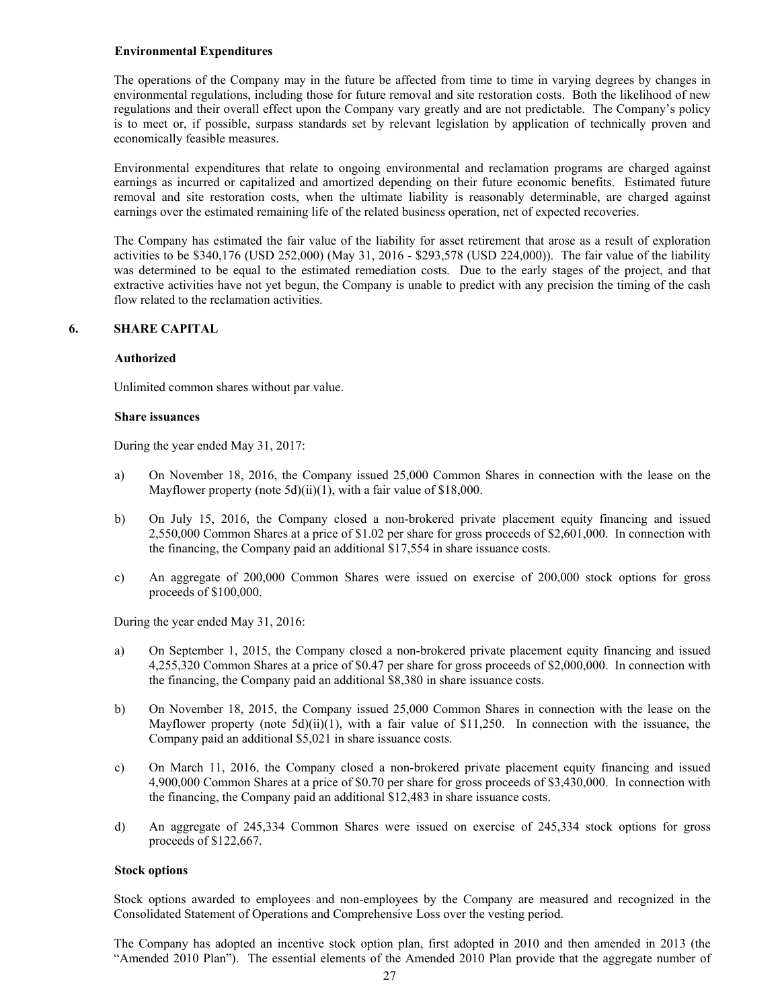#### **Environmental Expenditures**

The operations of the Company may in the future be affected from time to time in varying degrees by changes in environmental regulations, including those for future removal and site restoration costs. Both the likelihood of new regulations and their overall effect upon the Company vary greatly and are not predictable. The Company's policy is to meet or, if possible, surpass standards set by relevant legislation by application of technically proven and economically feasible measures.

Environmental expenditures that relate to ongoing environmental and reclamation programs are charged against earnings as incurred or capitalized and amortized depending on their future economic benefits. Estimated future removal and site restoration costs, when the ultimate liability is reasonably determinable, are charged against earnings over the estimated remaining life of the related business operation, net of expected recoveries.

The Company has estimated the fair value of the liability for asset retirement that arose as a result of exploration activities to be \$340,176 (USD 252,000) (May 31, 2016 - \$293,578 (USD 224,000)). The fair value of the liability was determined to be equal to the estimated remediation costs. Due to the early stages of the project, and that extractive activities have not yet begun, the Company is unable to predict with any precision the timing of the cash flow related to the reclamation activities.

## **6. SHARE CAPITAL**

#### **Authorized**

Unlimited common shares without par value.

#### **Share issuances**

During the year ended May 31, 2017:

- a) On November 18, 2016, the Company issued 25,000 Common Shares in connection with the lease on the Mayflower property (note 5d)(ii)(1), with a fair value of \$18,000.
- b) On July 15, 2016, the Company closed a non-brokered private placement equity financing and issued 2,550,000 Common Shares at a price of \$1.02 per share for gross proceeds of \$2,601,000. In connection with the financing, the Company paid an additional \$17,554 in share issuance costs.
- c) An aggregate of 200,000 Common Shares were issued on exercise of 200,000 stock options for gross proceeds of \$100,000.

During the year ended May 31, 2016:

- a) On September 1, 2015, the Company closed a non-brokered private placement equity financing and issued 4,255,320 Common Shares at a price of \$0.47 per share for gross proceeds of \$2,000,000. In connection with the financing, the Company paid an additional \$8,380 in share issuance costs.
- b) On November 18, 2015, the Company issued 25,000 Common Shares in connection with the lease on the Mayflower property (note  $5d$ )(ii)(1), with a fair value of \$11,250. In connection with the issuance, the Company paid an additional \$5,021 in share issuance costs.
- c) On March 11, 2016, the Company closed a non-brokered private placement equity financing and issued 4,900,000 Common Shares at a price of \$0.70 per share for gross proceeds of \$3,430,000. In connection with the financing, the Company paid an additional \$12,483 in share issuance costs.
- d) An aggregate of 245,334 Common Shares were issued on exercise of 245,334 stock options for gross proceeds of \$122,667.

#### **Stock options**

Stock options awarded to employees and non-employees by the Company are measured and recognized in the Consolidated Statement of Operations and Comprehensive Loss over the vesting period.

The Company has adopted an incentive stock option plan, first adopted in 2010 and then amended in 2013 (the "Amended 2010 Plan"). The essential elements of the Amended 2010 Plan provide that the aggregate number of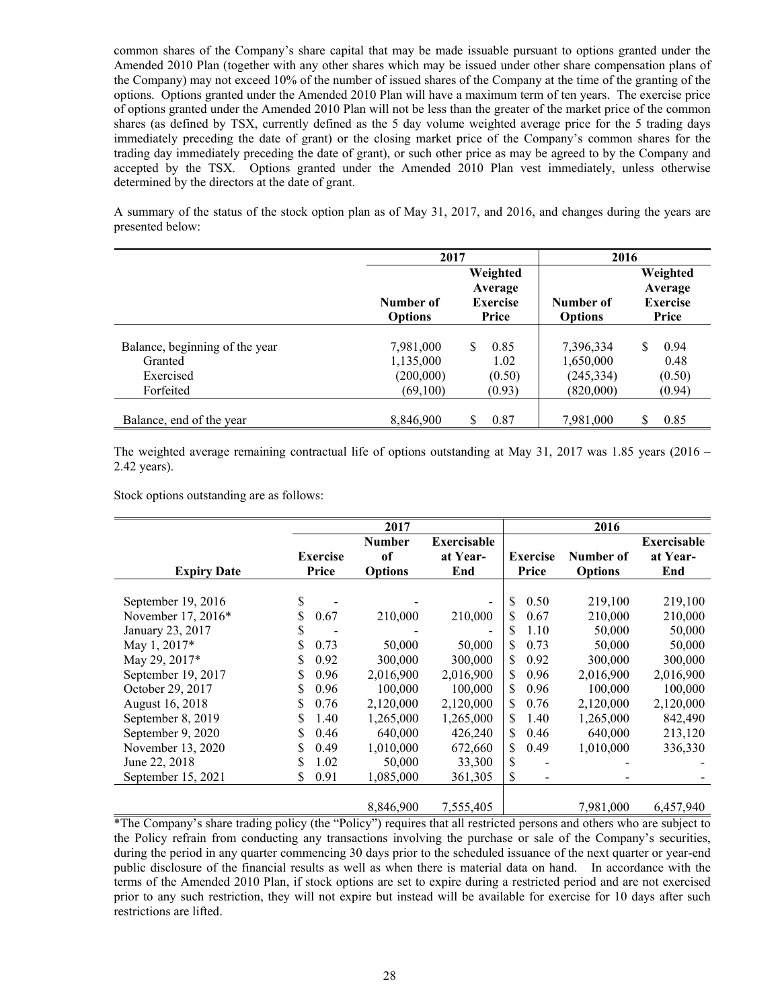common shares of the Company's share capital that may be made issuable pursuant to options granted under the Amended 2010 Plan (together with any other shares which may be issued under other share compensation plans of the Company) may not exceed 10% of the number of issued shares of the Company at the time of the granting of the options. Options granted under the Amended 2010 Plan will have a maximum term of ten years. The exercise price of options granted under the Amended 2010 Plan will not be less than the greater of the market price of the common shares (as defined by TSX, currently defined as the 5 day volume weighted average price for the 5 trading days immediately preceding the date of grant) or the closing market price of the Company's common shares for the trading day immediately preceding the date of grant), or such other price as may be agreed to by the Company and accepted by the TSX. Options granted under the Amended 2010 Plan vest immediately, unless otherwise determined by the directors at the date of grant.

A summary of the status of the stock option plan as of May 31, 2017, and 2016, and changes during the years are presented below:

|                                           | 2017                        |                                                 | 2016                        |                                                 |
|-------------------------------------------|-----------------------------|-------------------------------------------------|-----------------------------|-------------------------------------------------|
|                                           | Number of<br><b>Options</b> | Weighted<br>Average<br><b>Exercise</b><br>Price | Number of<br><b>Options</b> | Weighted<br>Average<br><b>Exercise</b><br>Price |
| Balance, beginning of the year<br>Granted | 7,981,000<br>1,135,000      | S.<br>0.85<br>1.02                              | 7,396,334<br>1,650,000      | S<br>0.94<br>0.48                               |
| Exercised<br>Forfeited                    | (200,000)<br>(69,100)       | (0.50)<br>(0.93)                                | (245, 334)<br>(820,000)     | (0.50)<br>(0.94)                                |
| Balance, end of the year                  | 8,846,900                   | 0.87<br>S                                       | 7,981,000                   | \$<br>0.85                                      |

The weighted average remaining contractual life of options outstanding at May 31, 2017 was 1.85 years (2016 – 2.42 years).

Stock options outstanding are as follows:

|                    | 2017 |                 |                |                    |                 | 2016           |                    |
|--------------------|------|-----------------|----------------|--------------------|-----------------|----------------|--------------------|
|                    |      |                 | <b>Number</b>  | <b>Exercisable</b> |                 |                | <b>Exercisable</b> |
|                    |      | <b>Exercise</b> | of             | at Year-           | <b>Exercise</b> | Number of      | at Year-           |
| <b>Expiry Date</b> |      | Price           | <b>Options</b> | End                | Price           | <b>Options</b> | End                |
|                    |      |                 |                |                    |                 |                |                    |
| September 19, 2016 | \$   |                 |                |                    | \$<br>0.50      | 219,100        | 219,100            |
| November 17, 2016* | \$   | 0.67            | 210,000        | 210,000            | \$<br>0.67      | 210,000        | 210,000            |
| January 23, 2017   |      |                 |                |                    | \$<br>1.10      | 50,000         | 50,000             |
| May 1, 2017*       | S    | 0.73            | 50,000         | 50,000             | \$<br>0.73      | 50,000         | 50,000             |
| May 29, 2017*      | \$   | 0.92            | 300,000        | 300,000            | \$<br>0.92      | 300,000        | 300,000            |
| September 19, 2017 |      | 0.96            | 2,016,900      | 2,016,900          | \$<br>0.96      | 2,016,900      | 2,016,900          |
| October 29, 2017   | \$   | 0.96            | 100,000        | 100,000            | \$<br>0.96      | 100,000        | 100,000            |
| August 16, 2018    |      | 0.76            | 2,120,000      | 2,120,000          | \$<br>0.76      | 2,120,000      | 2,120,000          |
| September 8, 2019  |      | 1.40            | 1,265,000      | 1,265,000          | \$<br>1.40      | 1,265,000      | 842,490            |
| September 9, 2020  |      | 0.46            | 640,000        | 426,240            | \$<br>0.46      | 640,000        | 213,120            |
| November 13, 2020  |      | 0.49            | 1.010.000      | 672,660            | \$<br>0.49      | 1,010,000      | 336,330            |
| June 22, 2018      | \$   | 1.02            | 50,000         | 33,300             | \$              |                |                    |
| September 15, 2021 | S    | 0.91            | 1,085,000      | 361,305            | \$              |                |                    |
|                    |      |                 | 8,846,900      | 7,555,405          |                 | 7,981,000      | 6,457,940          |

\*The Company's share trading policy (the "Policy") requires that all restricted persons and others who are subject to the Policy refrain from conducting any transactions involving the purchase or sale of the Company's securities, during the period in any quarter commencing 30 days prior to the scheduled issuance of the next quarter or year-end public disclosure of the financial results as well as when there is material data on hand. In accordance with the terms of the Amended 2010 Plan, if stock options are set to expire during a restricted period and are not exercised prior to any such restriction, they will not expire but instead will be available for exercise for 10 days after such restrictions are lifted.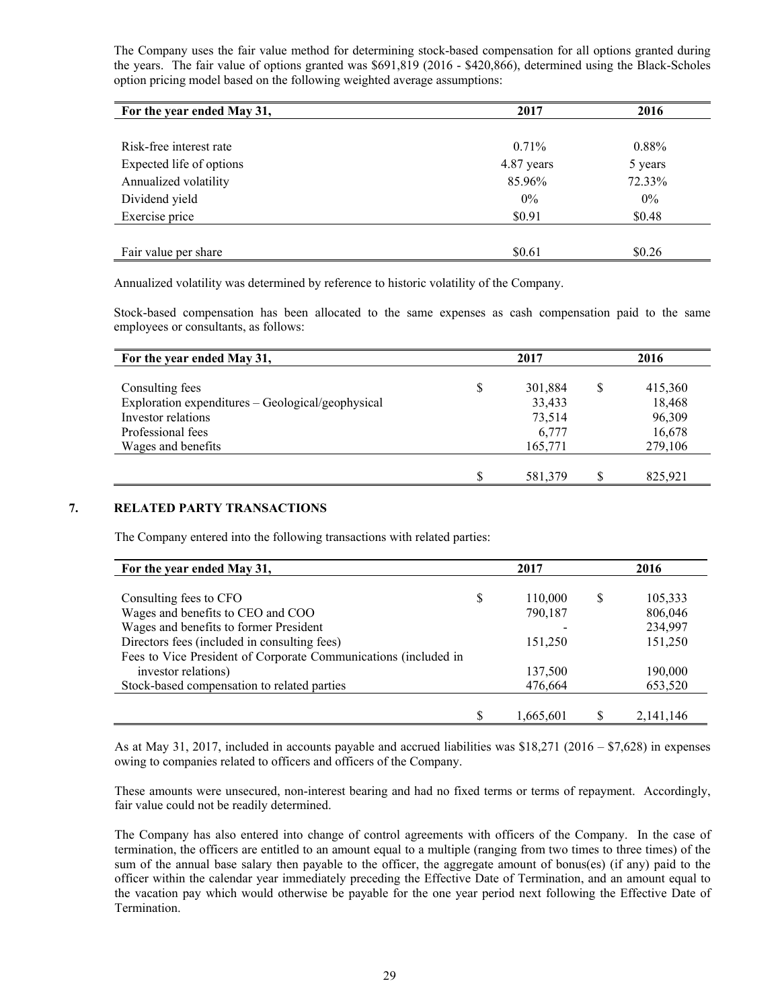The Company uses the fair value method for determining stock-based compensation for all options granted during the years. The fair value of options granted was \$691,819 (2016 - \$420,866), determined using the Black-Scholes option pricing model based on the following weighted average assumptions:

| For the year ended May 31, | 2017       | 2016     |
|----------------------------|------------|----------|
|                            |            |          |
| Risk-free interest rate    | $0.71\%$   | $0.88\%$ |
| Expected life of options   | 4.87 years | 5 years  |
| Annualized volatility      | 85.96%     | 72.33%   |
| Dividend yield             | $0\%$      | $0\%$    |
| Exercise price             | \$0.91     | \$0.48   |
|                            |            |          |
| Fair value per share       | \$0.61     | \$0.26   |

Annualized volatility was determined by reference to historic volatility of the Company.

Stock-based compensation has been allocated to the same expenses as cash compensation paid to the same employees or consultants, as follows:

| For the year ended May 31,                        |    | 2017    |   | 2016    |  |  |
|---------------------------------------------------|----|---------|---|---------|--|--|
| Consulting fees                                   | \$ | 301,884 | S | 415,360 |  |  |
| Exploration expenditures – Geological/geophysical |    | 33,433  |   | 18,468  |  |  |
| Investor relations                                |    | 73,514  |   | 96,309  |  |  |
| Professional fees                                 |    | 6,777   |   | 16,678  |  |  |
| Wages and benefits                                |    | 165,771 |   | 279,106 |  |  |
|                                                   | S  | 581,379 |   | 825,921 |  |  |

#### **7. RELATED PARTY TRANSACTIONS**

The Company entered into the following transactions with related parties:

| For the year ended May 31,                                      |    | 2017      |   | 2016      |  |
|-----------------------------------------------------------------|----|-----------|---|-----------|--|
|                                                                 |    |           |   |           |  |
| Consulting fees to CFO                                          | S  | 110,000   | S | 105,333   |  |
| Wages and benefits to CEO and COO                               |    | 790,187   |   | 806,046   |  |
| Wages and benefits to former President                          |    |           |   | 234,997   |  |
| Directors fees (included in consulting fees)                    |    | 151,250   |   | 151,250   |  |
| Fees to Vice President of Corporate Communications (included in |    |           |   |           |  |
| investor relations)                                             |    | 137,500   |   | 190,000   |  |
| Stock-based compensation to related parties                     |    | 476,664   |   | 653,520   |  |
|                                                                 |    |           |   |           |  |
|                                                                 | \$ | 1.665.601 |   | 2,141,146 |  |

As at May 31, 2017, included in accounts payable and accrued liabilities was \$18,271 (2016 – \$7,628) in expenses owing to companies related to officers and officers of the Company.

These amounts were unsecured, non-interest bearing and had no fixed terms or terms of repayment. Accordingly, fair value could not be readily determined.

The Company has also entered into change of control agreements with officers of the Company. In the case of termination, the officers are entitled to an amount equal to a multiple (ranging from two times to three times) of the sum of the annual base salary then payable to the officer, the aggregate amount of bonus(es) (if any) paid to the officer within the calendar year immediately preceding the Effective Date of Termination, and an amount equal to the vacation pay which would otherwise be payable for the one year period next following the Effective Date of Termination.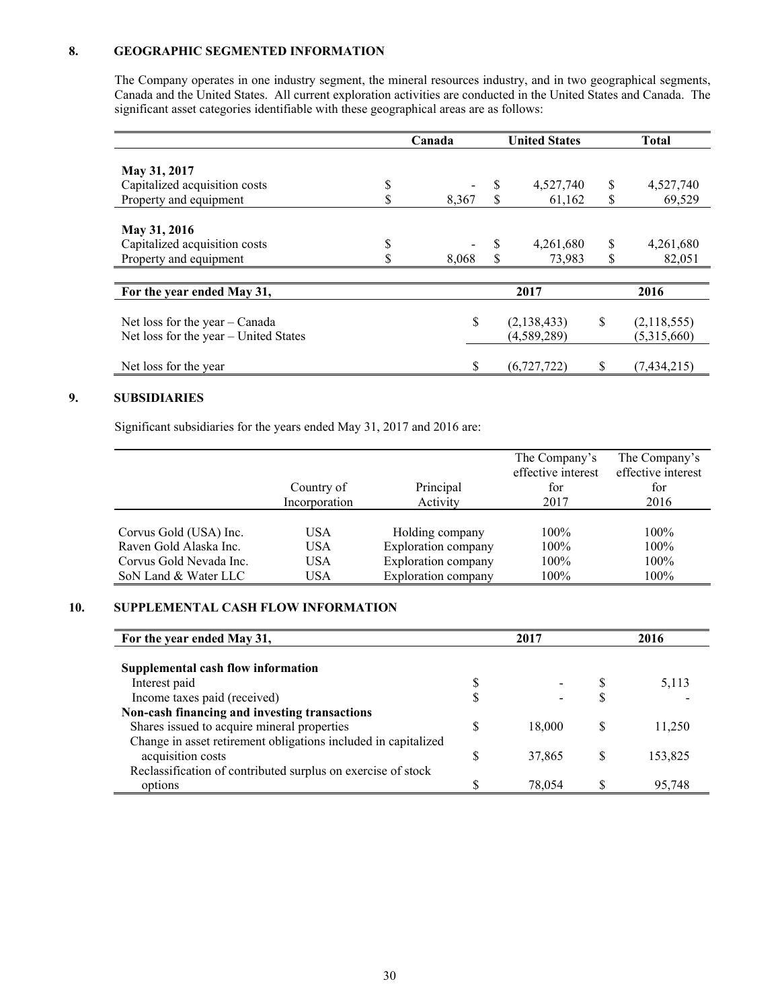## **8. GEOGRAPHIC SEGMENTED INFORMATION**

The Company operates in one industry segment, the mineral resources industry, and in two geographical segments, Canada and the United States. All current exploration activities are conducted in the United States and Canada. The significant asset categories identifiable with these geographical areas are as follows:

|                                       | Canada      |   | <b>United States</b> |               | <b>Total</b> |
|---------------------------------------|-------------|---|----------------------|---------------|--------------|
|                                       |             |   |                      |               |              |
| May 31, 2017                          |             |   |                      |               |              |
| Capitalized acquisition costs         | \$          |   | 4,527,740            | \$            | 4,527,740    |
| Property and equipment                | \$<br>8,367 |   | 61,162               | \$            | 69,529       |
|                                       |             |   |                      |               |              |
| May 31, 2016                          |             |   |                      |               |              |
| Capitalized acquisition costs         | \$          | S | 4,261,680            | \$            | 4,261,680    |
| Property and equipment                | \$<br>8,068 |   | 73,983               | \$            | 82,051       |
|                                       |             |   |                      |               |              |
| For the year ended May 31.            |             |   | 2017                 |               | 2016         |
|                                       |             |   |                      |               |              |
| Net loss for the year $-$ Canada      | \$          |   | (2,138,433)          | <sup>\$</sup> | (2,118,555)  |
| Net loss for the year - United States |             |   | (4,589,289)          |               | (5,315,660)  |
|                                       |             |   |                      |               |              |
| Net loss for the year                 | S           |   | (6,727,722)          |               | (7,434,215)  |

## **9. SUBSIDIARIES**

Significant subsidiaries for the years ended May 31, 2017 and 2016 are:

|                         |               |                            | The Company's      | The Company's      |
|-------------------------|---------------|----------------------------|--------------------|--------------------|
|                         |               |                            | effective interest | effective interest |
|                         | Country of    | Principal                  | for                | for                |
|                         | Incorporation | Activity                   | 2017               | 2016               |
|                         |               |                            |                    |                    |
| Corvus Gold (USA) Inc.  | USA           | Holding company            | $100\%$            | $100\%$            |
| Raven Gold Alaska Inc.  | USA           | Exploration company        | 100%               | $100\%$            |
| Corvus Gold Nevada Inc. | USA           | <b>Exploration company</b> | 100%               | $100\%$            |
| SoN Land & Water LLC    | USA           | <b>Exploration company</b> | 100%               | 100%               |

## **10. SUPPLEMENTAL CASH FLOW INFORMATION**

| For the year ended May 31,                                     |   | 2017   |   | 2016    |
|----------------------------------------------------------------|---|--------|---|---------|
|                                                                |   |        |   |         |
| Supplemental cash flow information                             |   |        |   |         |
| Interest paid                                                  |   |        |   | 5,113   |
| Income taxes paid (received)                                   |   |        |   |         |
| Non-cash financing and investing transactions                  |   |        |   |         |
| Shares issued to acquire mineral properties                    | S | 18,000 |   | 11,250  |
| Change in asset retirement obligations included in capitalized |   |        |   |         |
| acquisition costs                                              | S | 37,865 | S | 153,825 |
| Reclassification of contributed surplus on exercise of stock   |   |        |   |         |
| options                                                        |   | 78,054 |   | 95,748  |
|                                                                |   |        |   |         |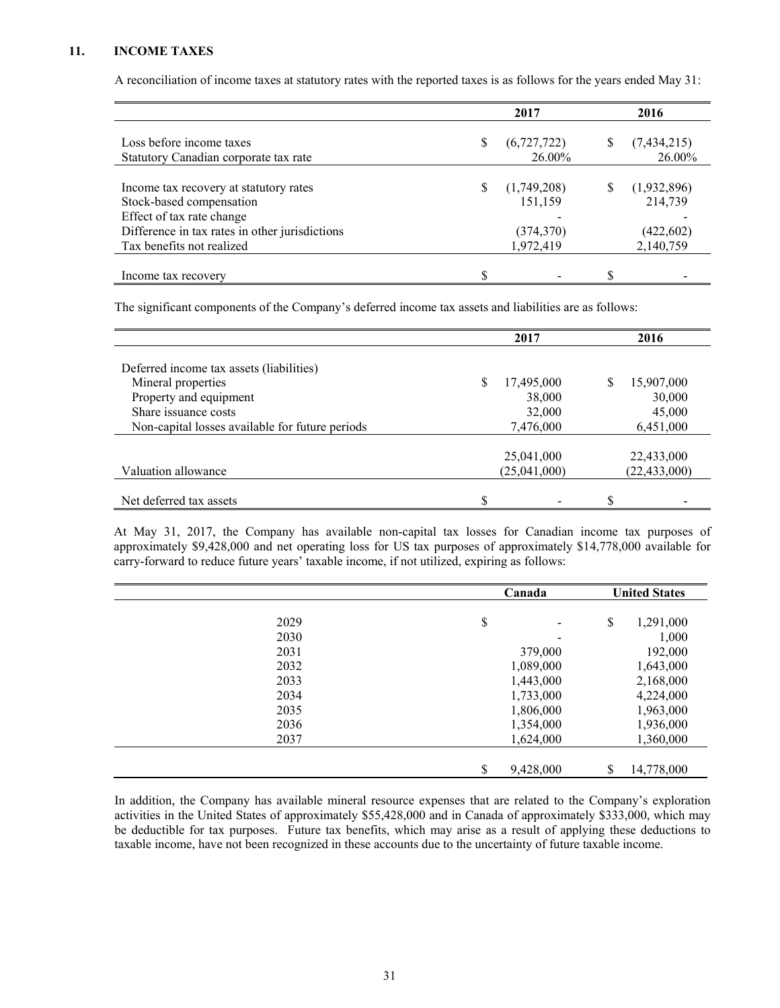## **11. INCOME TAXES**

A reconciliation of income taxes at statutory rates with the reported taxes is as follows for the years ended May 31:

|                                                                                                 | 2017 |                         | 2016                   |
|-------------------------------------------------------------------------------------------------|------|-------------------------|------------------------|
| Loss before income taxes<br>Statutory Canadian corporate tax rate                               | S    | (6,727,722)<br>26.00%   | (7,434,215)<br>26.00%  |
| Income tax recovery at statutory rates<br>Stock-based compensation<br>Effect of tax rate change | S    | (1,749,208)<br>151.159  | (1,932,896)<br>214,739 |
| Difference in tax rates in other jurisdictions<br>Tax benefits not realized                     |      | (374, 370)<br>1,972,419 | (422,602)<br>2,140,759 |
| Income tax recovery                                                                             | S    |                         |                        |

The significant components of the Company's deferred income tax assets and liabilities are as follows:

|                                                 |    | 2017         |    | 2016           |
|-------------------------------------------------|----|--------------|----|----------------|
|                                                 |    |              |    |                |
| Deferred income tax assets (liabilities)        |    |              |    |                |
| Mineral properties                              | S  | 17,495,000   | S  | 15,907,000     |
| Property and equipment                          |    | 38,000       |    | 30,000         |
| Share issuance costs                            |    | 32,000       |    | 45,000         |
| Non-capital losses available for future periods |    | 7,476,000    |    | 6,451,000      |
|                                                 |    |              |    |                |
|                                                 |    | 25,041,000   |    | 22,433,000     |
| Valuation allowance                             |    | (25,041,000) |    | (22, 433, 000) |
|                                                 |    |              |    |                |
| Net deferred tax assets                         | \$ |              | \$ |                |

At May 31, 2017, the Company has available non-capital tax losses for Canadian income tax purposes of approximately \$9,428,000 and net operating loss for US tax purposes of approximately \$14,778,000 available for carry-forward to reduce future years' taxable income, if not utilized, expiring as follows:

|      | Canada                   |    | <b>United States</b> |
|------|--------------------------|----|----------------------|
| 2029 | \$<br>۰.                 | \$ | 1,291,000            |
| 2030 | $\overline{\phantom{0}}$ |    | 1,000                |
| 2031 | 379,000                  |    | 192,000              |
| 2032 | 1,089,000                |    | 1,643,000            |
| 2033 | 1,443,000                |    | 2,168,000            |
| 2034 | 1,733,000                |    | 4,224,000            |
| 2035 | 1,806,000                |    | 1,963,000            |
| 2036 | 1,354,000                |    | 1,936,000            |
| 2037 | 1,624,000                |    | 1,360,000            |
|      |                          |    |                      |
|      | \$<br>9,428,000          | \$ | 14,778,000           |

In addition, the Company has available mineral resource expenses that are related to the Company's exploration activities in the United States of approximately \$55,428,000 and in Canada of approximately \$333,000, which may be deductible for tax purposes. Future tax benefits, which may arise as a result of applying these deductions to taxable income, have not been recognized in these accounts due to the uncertainty of future taxable income.